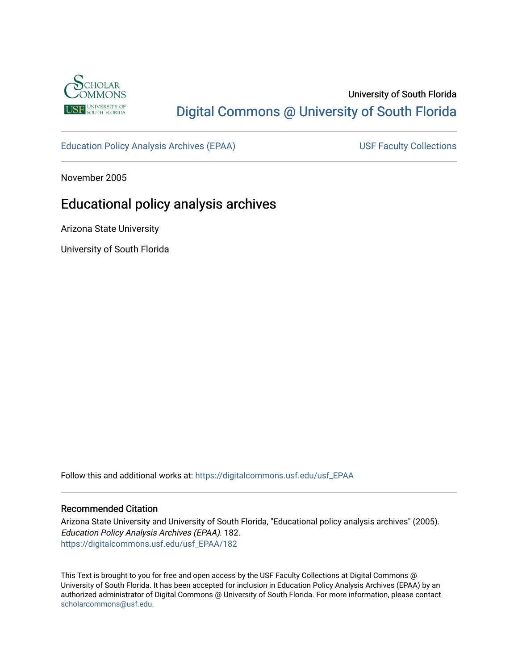

# University of South Florida [Digital Commons @ University of South Florida](https://digitalcommons.usf.edu/)

[Education Policy Analysis Archives \(EPAA\)](https://digitalcommons.usf.edu/usf_EPAA) USF Faculty Collections

November 2005

# Educational policy analysis archives

Arizona State University

University of South Florida

Follow this and additional works at: [https://digitalcommons.usf.edu/usf\\_EPAA](https://digitalcommons.usf.edu/usf_EPAA?utm_source=digitalcommons.usf.edu%2Fusf_EPAA%2F182&utm_medium=PDF&utm_campaign=PDFCoverPages)

#### Recommended Citation

Arizona State University and University of South Florida, "Educational policy analysis archives" (2005). Education Policy Analysis Archives (EPAA). 182. [https://digitalcommons.usf.edu/usf\\_EPAA/182](https://digitalcommons.usf.edu/usf_EPAA/182?utm_source=digitalcommons.usf.edu%2Fusf_EPAA%2F182&utm_medium=PDF&utm_campaign=PDFCoverPages)

This Text is brought to you for free and open access by the USF Faculty Collections at Digital Commons @ University of South Florida. It has been accepted for inclusion in Education Policy Analysis Archives (EPAA) by an authorized administrator of Digital Commons @ University of South Florida. For more information, please contact [scholarcommons@usf.edu.](mailto:scholarcommons@usf.edu)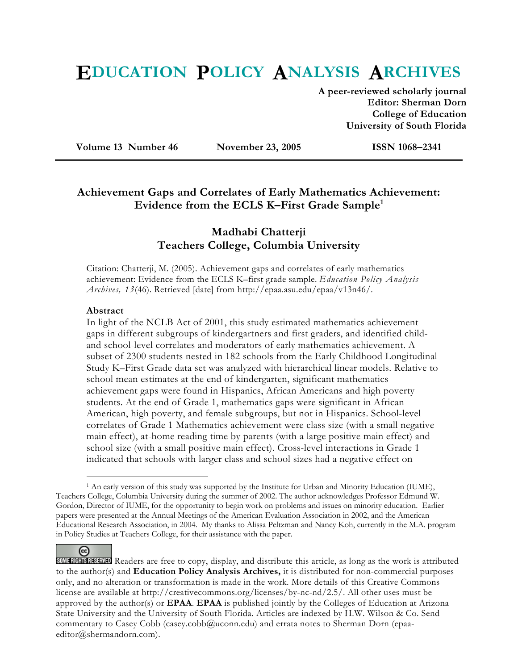# **EDUCATION POLICY ANALYSIS ARCHIVES**

**A peer-reviewed scholarly journal Editor: Sherman Dorn College of Education University of South Florida** 

**Volume 13 Number 46 November 23, 2005 ISSN 1068–2341** 

### **Achievement Gaps and Correlates of Early Mathematics Achievement: Evidence from the ECLS K–First Grade Sample1**

### **Madhabi Chatterji Teachers College, Columbia University**

Citation: Chatterji, M. (2005). Achievement gaps and correlates of early mathematics achievement: Evidence from the ECLS K–first grade sample. *Education Policy Analysis Archives, 13*(46). Retrieved [date] from http://epaa.asu.edu/epaa/v13n46/.

#### **Abstract**

In light of the NCLB Act of 2001, this study estimated mathematics achievement gaps in different subgroups of kindergartners and first graders, and identified childand school-level correlates and moderators of early mathematics achievement. A subset of 2300 students nested in 182 schools from the Early Childhood Longitudinal Study K–First Grade data set was analyzed with hierarchical linear models. Relative to school mean estimates at the end of kindergarten, significant mathematics achievement gaps were found in Hispanics, African Americans and high poverty students. At the end of Grade 1, mathematics gaps were significant in African American, high poverty, and female subgroups, but not in Hispanics. School-level correlates of Grade 1 Mathematics achievement were class size (with a small negative main effect), at-home reading time by parents (with a large positive main effect) and school size (with a small positive main effect). Cross-level interactions in Grade 1 indicated that schools with larger class and school sizes had a negative effect on

(လ)

-

<sup>1</sup> An early version of this study was supported by the Institute for Urban and Minority Education (IUME), Teachers College, Columbia University during the summer of 2002. The author acknowledges Professor Edmund W. Gordon, Director of IUME, for the opportunity to begin work on problems and issues on minority education. Earlier papers were presented at the Annual Meetings of the American Evaluation Association in 2002, and the American Educational Research Association, in 2004. My thanks to Alissa Peltzman and Nancy Koh, currently in the M.A. program in Policy Studies at Teachers College, for their assistance with the paper.

SUME RIGHTS RESERVED Readers are free to copy, display, and distribute this article, as long as the work is attributed to the author(s) and **Education Policy Analysis Archives,** it is distributed for non-commercial purposes only, and no alteration or transformation is made in the work. More details of this Creative Commons license are available at http://creativecommons.org/licenses/by-nc-nd/2.5/. All other uses must be approved by the author(s) or **EPAA**. **EPAA** is published jointly by the Colleges of Education at Arizona State University and the University of South Florida. Articles are indexed by H.W. Wilson & Co. Send commentary to Casey Cobb (casey.cobb@uconn.edu) and errata notes to Sherman Dorn (epaaeditor@shermandorn.com).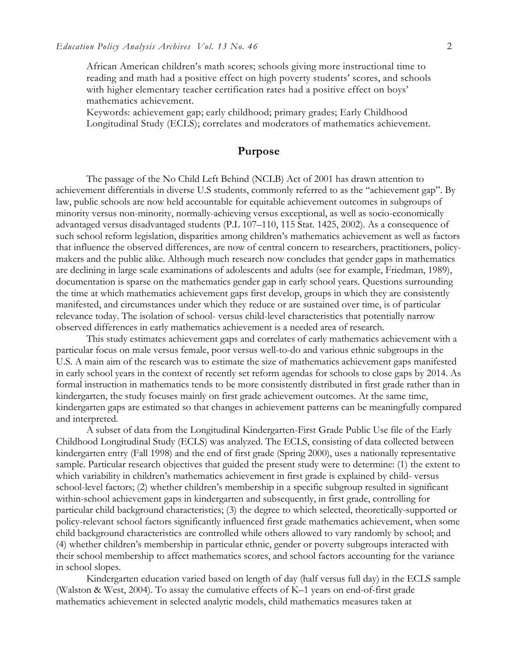African American children's math scores; schools giving more instructional time to reading and math had a positive effect on high poverty students' scores, and schools with higher elementary teacher certification rates had a positive effect on boys' mathematics achievement.

Keywords: achievement gap; early childhood; primary grades; Early Childhood Longitudinal Study (ECLS); correlates and moderators of mathematics achievement.

### **Purpose**

The passage of the No Child Left Behind (NCLB) Act of 2001 has drawn attention to achievement differentials in diverse U.S students, commonly referred to as the "achievement gap". By law, public schools are now held accountable for equitable achievement outcomes in subgroups of minority versus non-minority, normally-achieving versus exceptional, as well as socio-economically advantaged versus disadvantaged students (P.L 107–110, 115 Stat. 1425, 2002). As a consequence of such school reform legislation, disparities among children's mathematics achievement as well as factors that influence the observed differences, are now of central concern to researchers, practitioners, policymakers and the public alike. Although much research now concludes that gender gaps in mathematics are declining in large scale examinations of adolescents and adults (see for example, Friedman, 1989), documentation is sparse on the mathematics gender gap in early school years. Questions surrounding the time at which mathematics achievement gaps first develop, groups in which they are consistently manifested, and circumstances under which they reduce or are sustained over time, is of particular relevance today. The isolation of school- versus child-level characteristics that potentially narrow observed differences in early mathematics achievement is a needed area of research.

This study estimates achievement gaps and correlates of early mathematics achievement with a particular focus on male versus female, poor versus well-to-do and various ethnic subgroups in the U.S. A main aim of the research was to estimate the size of mathematics achievement gaps manifested in early school years in the context of recently set reform agendas for schools to close gaps by 2014. As formal instruction in mathematics tends to be more consistently distributed in first grade rather than in kindergarten, the study focuses mainly on first grade achievement outcomes. At the same time, kindergarten gaps are estimated so that changes in achievement patterns can be meaningfully compared and interpreted.

A subset of data from the Longitudinal Kindergarten-First Grade Public Use file of the Early Childhood Longitudinal Study (ECLS) was analyzed. The ECLS, consisting of data collected between kindergarten entry (Fall 1998) and the end of first grade (Spring 2000), uses a nationally representative sample. Particular research objectives that guided the present study were to determine: (1) the extent to which variability in children's mathematics achievement in first grade is explained by child- versus school-level factors; (2) whether children's membership in a specific subgroup resulted in significant within-school achievement gaps in kindergarten and subsequently, in first grade, controlling for particular child background characteristics; (3) the degree to which selected, theoretically-supported or policy-relevant school factors significantly influenced first grade mathematics achievement, when some child background characteristics are controlled while others allowed to vary randomly by school; and (4) whether children's membership in particular ethnic, gender or poverty subgroups interacted with their school membership to affect mathematics scores, and school factors accounting for the variance in school slopes.

Kindergarten education varied based on length of day (half versus full day) in the ECLS sample (Walston & West, 2004). To assay the cumulative effects of K–1 years on end-of-first grade mathematics achievement in selected analytic models, child mathematics measures taken at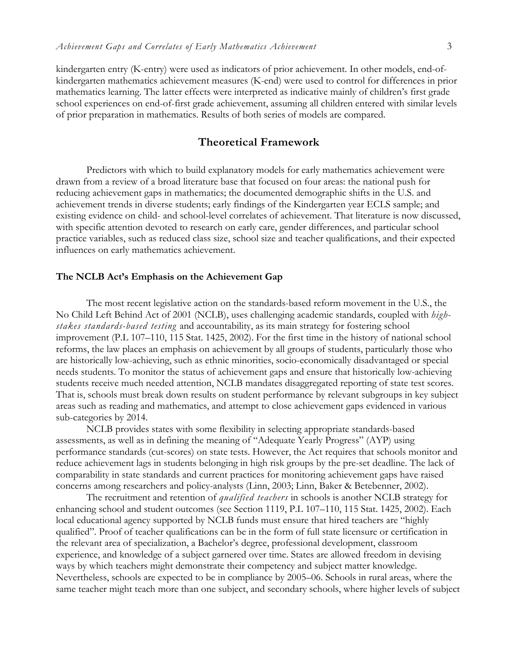kindergarten entry (K-entry) were used as indicators of prior achievement. In other models, end-ofkindergarten mathematics achievement measures (K-end) were used to control for differences in prior mathematics learning. The latter effects were interpreted as indicative mainly of children's first grade school experiences on end-of-first grade achievement, assuming all children entered with similar levels of prior preparation in mathematics. Results of both series of models are compared.

### **Theoretical Framework**

Predictors with which to build explanatory models for early mathematics achievement were drawn from a review of a broad literature base that focused on four areas: the national push for reducing achievement gaps in mathematics; the documented demographic shifts in the U.S. and achievement trends in diverse students; early findings of the Kindergarten year ECLS sample; and existing evidence on child- and school-level correlates of achievement. That literature is now discussed, with specific attention devoted to research on early care, gender differences, and particular school practice variables, such as reduced class size, school size and teacher qualifications, and their expected influences on early mathematics achievement.

#### **The NCLB Act's Emphasis on the Achievement Gap**

The most recent legislative action on the standards-based reform movement in the U.S., the No Child Left Behind Act of 2001 (NCLB), uses challenging academic standards, coupled with *highstakes standards-based testing* and accountability, as its main strategy for fostering school improvement (P.L 107–110, 115 Stat. 1425, 2002). For the first time in the history of national school reforms, the law places an emphasis on achievement by all groups of students, particularly those who are historically low-achieving, such as ethnic minorities, socio-economically disadvantaged or special needs students. To monitor the status of achievement gaps and ensure that historically low-achieving students receive much needed attention, NCLB mandates disaggregated reporting of state test scores. That is, schools must break down results on student performance by relevant subgroups in key subject areas such as reading and mathematics, and attempt to close achievement gaps evidenced in various sub-categories by 2014.

NCLB provides states with some flexibility in selecting appropriate standards-based assessments, as well as in defining the meaning of "Adequate Yearly Progress" (AYP) using performance standards (cut-scores) on state tests. However, the Act requires that schools monitor and reduce achievement lags in students belonging in high risk groups by the pre-set deadline. The lack of comparability in state standards and current practices for monitoring achievement gaps have raised concerns among researchers and policy-analysts (Linn, 2003; Linn, Baker & Betebenner, 2002).

The recruitment and retention of *qualified teachers* in schools is another NCLB strategy for enhancing school and student outcomes (see Section 1119, P.L 107–110, 115 Stat. 1425, 2002). Each local educational agency supported by NCLB funds must ensure that hired teachers are "highly qualified". Proof of teacher qualifications can be in the form of full state licensure or certification in the relevant area of specialization, a Bachelor's degree, professional development, classroom experience, and knowledge of a subject garnered over time. States are allowed freedom in devising ways by which teachers might demonstrate their competency and subject matter knowledge. Nevertheless, schools are expected to be in compliance by 2005–06. Schools in rural areas, where the same teacher might teach more than one subject, and secondary schools, where higher levels of subject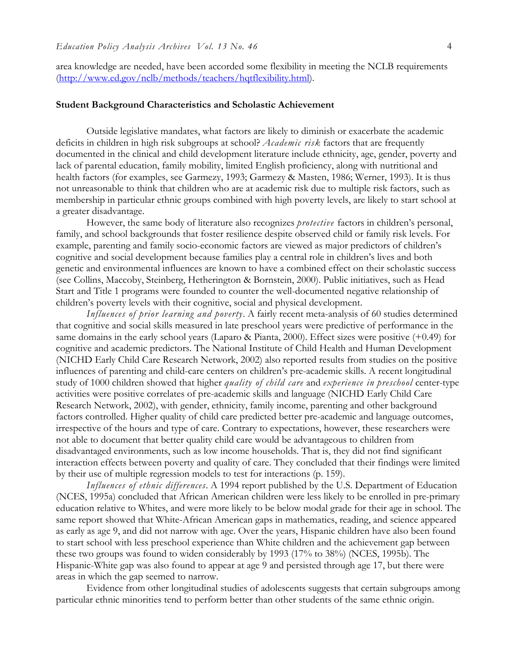area knowledge are needed, have been accorded some flexibility in meeting the NCLB requirements (http://www.ed.gov/nclb/methods/teachers/hqtflexibility.html).

#### **Student Background Characteristics and Scholastic Achievement**

Outside legislative mandates, what factors are likely to diminish or exacerbate the academic deficits in children in high risk subgroups at school? *Academic risk* factors that are frequently documented in the clinical and child development literature include ethnicity, age, gender, poverty and lack of parental education, family mobility, limited English proficiency, along with nutritional and health factors (for examples, see Garmezy, 1993; Garmezy & Masten, 1986; Werner, 1993). It is thus not unreasonable to think that children who are at academic risk due to multiple risk factors, such as membership in particular ethnic groups combined with high poverty levels, are likely to start school at a greater disadvantage.

However, the same body of literature also recognizes *protective* factors in children's personal, family, and school backgrounds that foster resilience despite observed child or family risk levels. For example, parenting and family socio-economic factors are viewed as major predictors of children's cognitive and social development because families play a central role in children's lives and both genetic and environmental influences are known to have a combined effect on their scholastic success (see Collins, Maccoby, Steinberg, Hetherington & Bornstein, 2000). Public initiatives, such as Head Start and Title 1 programs were founded to counter the well-documented negative relationship of children's poverty levels with their cognitive, social and physical development.

*Influences of prior learning and poverty*. A fairly recent meta-analysis of 60 studies determined that cognitive and social skills measured in late preschool years were predictive of performance in the same domains in the early school years (Laparo & Pianta, 2000). Effect sizes were positive (+0.49) for cognitive and academic predictors. The National Institute of Child Health and Human Development (NICHD Early Child Care Research Network, 2002) also reported results from studies on the positive influences of parenting and child-care centers on children's pre-academic skills. A recent longitudinal study of 1000 children showed that higher *quality of child care* and *experience in preschool* center-type activities were positive correlates of pre-academic skills and language (NICHD Early Child Care Research Network, 2002), with gender, ethnicity, family income, parenting and other background factors controlled. Higher quality of child care predicted better pre-academic and language outcomes, irrespective of the hours and type of care. Contrary to expectations, however, these researchers were not able to document that better quality child care would be advantageous to children from disadvantaged environments, such as low income households. That is, they did not find significant interaction effects between poverty and quality of care. They concluded that their findings were limited by their use of multiple regression models to test for interactions (p. 159).

*Influences of ethnic differences*. A 1994 report published by the U.S. Department of Education (NCES, 1995a) concluded that African American children were less likely to be enrolled in pre-primary education relative to Whites, and were more likely to be below modal grade for their age in school. The same report showed that White-African American gaps in mathematics, reading, and science appeared as early as age 9, and did not narrow with age. Over the years, Hispanic children have also been found to start school with less preschool experience than White children and the achievement gap between these two groups was found to widen considerably by 1993 (17% to 38%) (NCES, 1995b). The Hispanic-White gap was also found to appear at age 9 and persisted through age 17, but there were areas in which the gap seemed to narrow.

Evidence from other longitudinal studies of adolescents suggests that certain subgroups among particular ethnic minorities tend to perform better than other students of the same ethnic origin.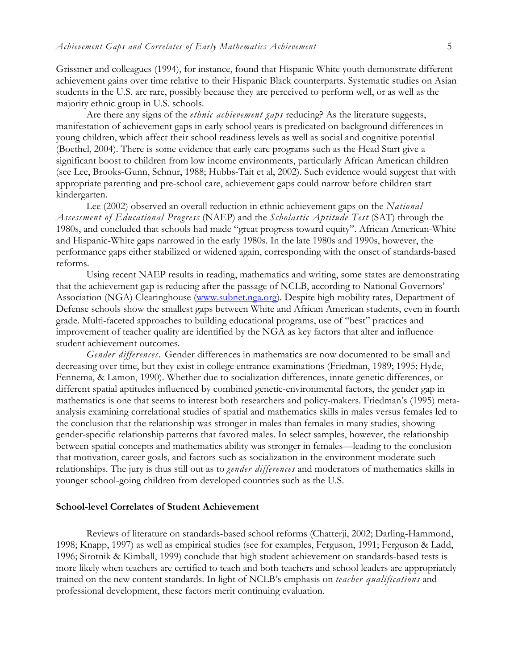Grissmer and colleagues (1994), for instance, found that Hispanic White youth demonstrate different achievement gains over time relative to their Hispanic Black counterparts. Systematic studies on Asian students in the U.S. are rare, possibly because they are perceived to perform well, or as well as the majority ethnic group in U.S. schools.

Are there any signs of the *ethnic achievement gaps* reducing? As the literature suggests, manifestation of achievement gaps in early school years is predicated on background differences in young children, which affect their school readiness levels as well as social and cognitive potential (Boethel, 2004). There is some evidence that early care programs such as the Head Start give a significant boost to children from low income environments, particularly African American children (see Lee, Brooks-Gunn, Schnur, 1988; Hubbs-Tait et al, 2002). Such evidence would suggest that with appropriate parenting and pre-school care, achievement gaps could narrow before children start kindergarten.

Lee (2002) observed an overall reduction in ethnic achievement gaps on the *National Assessment of Educational Progress* (NAEP) and the *Scholastic Aptitude Test* (SAT) through the 1980s, and concluded that schools had made "great progress toward equity". African American-White and Hispanic-White gaps narrowed in the early 1980s. In the late 1980s and 1990s, however, the performance gaps either stabilized or widened again, corresponding with the onset of standards-based reforms.

Using recent NAEP results in reading, mathematics and writing, some states are demonstrating that the achievement gap is reducing after the passage of NCLB, according to National Governors' Association (NGA) Clearinghouse (www.subnet.nga.org). Despite high mobility rates, Department of Defense schools show the smallest gaps between White and African American students, even in fourth grade. Multi-faceted approaches to building educational programs, use of "best" practices and improvement of teacher quality are identified by the NGA as key factors that alter and influence student achievement outcomes.

*Gender differences.* Gender differences in mathematics are now documented to be small and decreasing over time, but they exist in college entrance examinations (Friedman, 1989; 1995; Hyde, Fennema, & Lamon, 1990). Whether due to socialization differences, innate genetic differences, or different spatial aptitudes influenced by combined genetic-environmental factors, the gender gap in mathematics is one that seems to interest both researchers and policy-makers. Friedman's (1995) metaanalysis examining correlational studies of spatial and mathematics skills in males versus females led to the conclusion that the relationship was stronger in males than females in many studies, showing gender-specific relationship patterns that favored males. In select samples, however, the relationship between spatial concepts and mathematics ability was stronger in females—leading to the conclusion that motivation, career goals, and factors such as socialization in the environment moderate such relationships. The jury is thus still out as to *gender differences* and moderators of mathematics skills in younger school-going children from developed countries such as the U.S.

#### **School-level Correlates of Student Achievement**

Reviews of literature on standards-based school reforms (Chatterji, 2002; Darling-Hammond, 1998; Knapp, 1997) as well as empirical studies (see for examples, Ferguson, 1991; Ferguson & Ladd, 1996; Sirotnik & Kimball, 1999) conclude that high student achievement on standards-based tests is more likely when teachers are certified to teach and both teachers and school leaders are appropriately trained on the new content standards. In light of NCLB's emphasis on *teacher qualifications* and professional development, these factors merit continuing evaluation.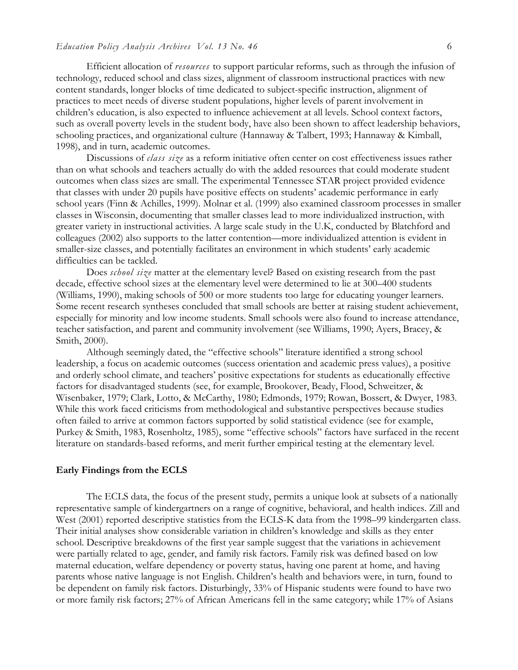#### *Education Policy Analysis Archives Vol. 13 No. 46* 6

Efficient allocation of *resources* to support particular reforms, such as through the infusion of technology, reduced school and class sizes, alignment of classroom instructional practices with new content standards, longer blocks of time dedicated to subject-specific instruction, alignment of practices to meet needs of diverse student populations, higher levels of parent involvement in children's education, is also expected to influence achievement at all levels. School context factors, such as overall poverty levels in the student body, have also been shown to affect leadership behaviors, schooling practices, and organizational culture (Hannaway & Talbert, 1993; Hannaway & Kimball, 1998), and in turn, academic outcomes.

Discussions of *class size* as a reform initiative often center on cost effectiveness issues rather than on what schools and teachers actually do with the added resources that could moderate student outcomes when class sizes are small. The experimental Tennessee STAR project provided evidence that classes with under 20 pupils have positive effects on students' academic performance in early school years (Finn & Achilles, 1999). Molnar et al. (1999) also examined classroom processes in smaller classes in Wisconsin, documenting that smaller classes lead to more individualized instruction, with greater variety in instructional activities. A large scale study in the U.K, conducted by Blatchford and colleagues (2002) also supports to the latter contention—more individualized attention is evident in smaller-size classes, and potentially facilitates an environment in which students' early academic difficulties can be tackled.

Does *school size* matter at the elementary level? Based on existing research from the past decade, effective school sizes at the elementary level were determined to lie at 300–400 students (Williams, 1990), making schools of 500 or more students too large for educating younger learners. Some recent research syntheses concluded that small schools are better at raising student achievement, especially for minority and low income students. Small schools were also found to increase attendance, teacher satisfaction, and parent and community involvement (see Williams, 1990; Ayers, Bracey, & Smith, 2000).

Although seemingly dated, the "effective schools" literature identified a strong school leadership, a focus on academic outcomes (success orientation and academic press values), a positive and orderly school climate, and teachers' positive expectations for students as educationally effective factors for disadvantaged students (see, for example, Brookover, Beady, Flood, Schweitzer, & Wisenbaker, 1979; Clark, Lotto, & McCarthy, 1980; Edmonds, 1979; Rowan, Bossert, & Dwyer, 1983. While this work faced criticisms from methodological and substantive perspectives because studies often failed to arrive at common factors supported by solid statistical evidence (see for example, Purkey & Smith, 1983, Rosenholtz, 1985), some "effective schools" factors have surfaced in the recent literature on standards-based reforms, and merit further empirical testing at the elementary level.

#### **Early Findings from the ECLS**

The ECLS data, the focus of the present study, permits a unique look at subsets of a nationally representative sample of kindergartners on a range of cognitive, behavioral, and health indices. Zill and West (2001) reported descriptive statistics from the ECLS-K data from the 1998–99 kindergarten class. Their initial analyses show considerable variation in children's knowledge and skills as they enter school. Descriptive breakdowns of the first year sample suggest that the variations in achievement were partially related to age, gender, and family risk factors. Family risk was defined based on low maternal education, welfare dependency or poverty status, having one parent at home, and having parents whose native language is not English. Children's health and behaviors were, in turn, found to be dependent on family risk factors. Disturbingly, 33% of Hispanic students were found to have two or more family risk factors; 27% of African Americans fell in the same category; while 17% of Asians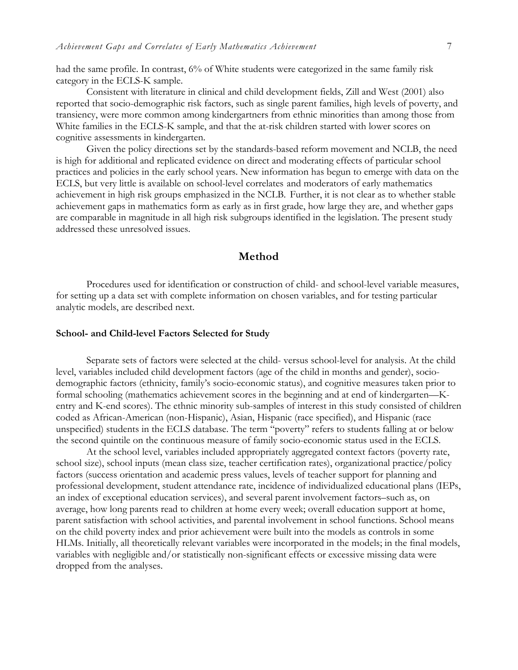had the same profile. In contrast, 6% of White students were categorized in the same family risk category in the ECLS-K sample.

Consistent with literature in clinical and child development fields, Zill and West (2001) also reported that socio-demographic risk factors, such as single parent families, high levels of poverty, and transiency, were more common among kindergartners from ethnic minorities than among those from White families in the ECLS-K sample, and that the at-risk children started with lower scores on cognitive assessments in kindergarten.

Given the policy directions set by the standards-based reform movement and NCLB, the need is high for additional and replicated evidence on direct and moderating effects of particular school practices and policies in the early school years. New information has begun to emerge with data on the ECLS, but very little is available on school-level correlates and moderators of early mathematics achievement in high risk groups emphasized in the NCLB*.* Further, it is not clear as to whether stable achievement gaps in mathematics form as early as in first grade, how large they are, and whether gaps are comparable in magnitude in all high risk subgroups identified in the legislation. The present study addressed these unresolved issues.

#### **Method**

Procedures used for identification or construction of child- and school-level variable measures, for setting up a data set with complete information on chosen variables, and for testing particular analytic models, are described next.

#### **School- and Child-level Factors Selected for Study**

Separate sets of factors were selected at the child- versus school-level for analysis. At the child level, variables included child development factors (age of the child in months and gender), sociodemographic factors (ethnicity, family's socio-economic status), and cognitive measures taken prior to formal schooling (mathematics achievement scores in the beginning and at end of kindergarten—Kentry and K-end scores). The ethnic minority sub-samples of interest in this study consisted of children coded as African-American (non-Hispanic), Asian, Hispanic (race specified), and Hispanic (race unspecified) students in the ECLS database. The term "poverty" refers to students falling at or below the second quintile on the continuous measure of family socio-economic status used in the ECLS.

At the school level, variables included appropriately aggregated context factors (poverty rate, school size), school inputs (mean class size, teacher certification rates), organizational practice/policy factors (success orientation and academic press values, levels of teacher support for planning and professional development, student attendance rate, incidence of individualized educational plans (IEPs, an index of exceptional education services), and several parent involvement factors–such as, on average, how long parents read to children at home every week; overall education support at home, parent satisfaction with school activities, and parental involvement in school functions. School means on the child poverty index and prior achievement were built into the models as controls in some HLMs. Initially, all theoretically relevant variables were incorporated in the models; in the final models, variables with negligible and/or statistically non-significant effects or excessive missing data were dropped from the analyses.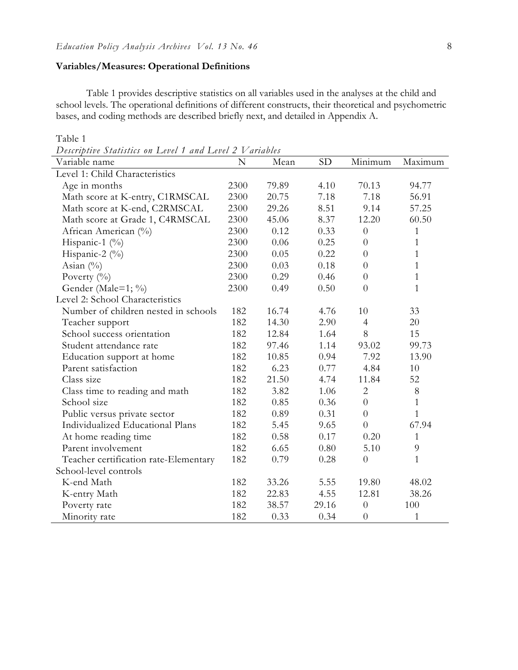### **Variables/Measures: Operational Definitions**

Table 1 provides descriptive statistics on all variables used in the analyses at the child and school levels. The operational definitions of different constructs, their theoretical and psychometric bases, and coding methods are described briefly next, and detailed in Appendix A.

Table 1

*Descriptive Statistics on Level 1 and Level 2 Variables* 

| Variable name                         | N    | Mean  | <b>SD</b> | Minimum          | Maximum        |
|---------------------------------------|------|-------|-----------|------------------|----------------|
| Level 1: Child Characteristics        |      |       |           |                  |                |
| Age in months                         | 2300 | 79.89 | 4.10      | 70.13            | 94.77          |
| Math score at K-entry, C1RMSCAL       | 2300 | 20.75 | 7.18      | 7.18             | 56.91          |
| Math score at K-end, C2RMSCAL         | 2300 | 29.26 | 8.51      | 9.14             | 57.25          |
| Math score at Grade 1, C4RMSCAL       | 2300 | 45.06 | 8.37      | 12.20            | 60.50          |
| African American (%)                  | 2300 | 0.12  | 0.33      | $\theta$         | $\mathbf{1}$   |
| Hispanic-1 $(\%)$                     | 2300 | 0.06  | 0.25      | $\theta$         | $\mathbf{1}$   |
| Hispanic-2 (%)                        | 2300 | 0.05  | 0.22      | $\overline{0}$   | 1              |
| Asian $(\%)$                          | 2300 | 0.03  | 0.18      | $\theta$         | $\mathbf{1}$   |
| Poverty $(\%)$                        | 2300 | 0.29  | 0.46      | $\overline{0}$   | 1              |
| Gender (Male=1; %)                    | 2300 | 0.49  | 0.50      | $\overline{0}$   | 1              |
| Level 2: School Characteristics       |      |       |           |                  |                |
| Number of children nested in schools  | 182  | 16.74 | 4.76      | 10               | 33             |
| Teacher support                       | 182  | 14.30 | 2.90      | $\overline{4}$   | 20             |
| School success orientation            | 182  | 12.84 | 1.64      | 8                | 15             |
| Student attendance rate               | 182  | 97.46 | 1.14      | 93.02            | 99.73          |
| Education support at home             | 182  | 10.85 | 0.94      | 7.92             | 13.90          |
| Parent satisfaction                   | 182  | 6.23  | 0.77      | 4.84             | 10             |
| Class size                            | 182  | 21.50 | 4.74      | 11.84            | 52             |
| Class time to reading and math        | 182  | 3.82  | 1.06      | $\boldsymbol{2}$ | $8\,$          |
| School size                           | 182  | 0.85  | 0.36      | $\boldsymbol{0}$ | $\mathbf{1}$   |
| Public versus private sector          | 182  | 0.89  | 0.31      | $\overline{0}$   | $\mathbf{1}$   |
| Individualized Educational Plans      | 182  | 5.45  | 9.65      | $\theta$         | 67.94          |
| At home reading time                  | 182  | 0.58  | 0.17      | 0.20             | $\mathbf{1}$   |
| Parent involvement                    | 182  | 6.65  | 0.80      | 5.10             | $\overline{9}$ |
| Teacher certification rate-Elementary | 182  | 0.79  | 0.28      | $\overline{0}$   | $\overline{1}$ |
| School-level controls                 |      |       |           |                  |                |
| K-end Math                            | 182  | 33.26 | 5.55      | 19.80            | 48.02          |
| K-entry Math                          | 182  | 22.83 | 4.55      | 12.81            | 38.26          |
| Poverty rate                          | 182  | 38.57 | 29.16     | $\theta$         | 100            |
| Minority rate                         | 182  | 0.33  | 0.34      | $\theta$         | $\mathbf{1}$   |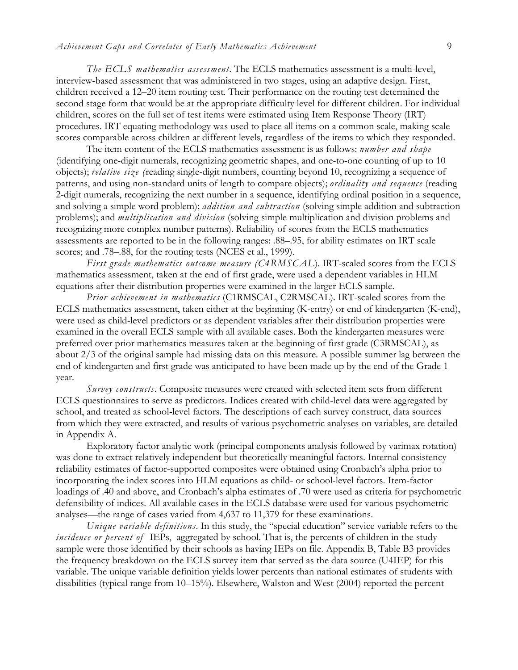*The ECLS mathematics assessment*. The ECLS mathematics assessment is a multi-level, interview-based assessment that was administered in two stages, using an adaptive design. First, children received a 12–20 item routing test. Their performance on the routing test determined the second stage form that would be at the appropriate difficulty level for different children. For individual children, scores on the full set of test items were estimated using Item Response Theory (IRT) procedures. IRT equating methodology was used to place all items on a common scale, making scale scores comparable across children at different levels, regardless of the items to which they responded.

 The item content of the ECLS mathematics assessment is as follows: *number and shape* (identifying one-digit numerals, recognizing geometric shapes, and one-to-one counting of up to 10 objects); *relative size (*reading single-digit numbers, counting beyond 10, recognizing a sequence of patterns, and using non-standard units of length to compare objects); *ordinality and sequence* (reading 2-digit numerals, recognizing the next number in a sequence, identifying ordinal position in a sequence, and solving a simple word problem); *addition and subtraction* (solving simple addition and subtraction problems); and *multiplication and division* (solving simple multiplication and division problems and recognizing more complex number patterns). Reliability of scores from the ECLS mathematics assessments are reported to be in the following ranges: .88–.95, for ability estimates on IRT scale scores; and .78–.88, for the routing tests (NCES et al., 1999).

*First grade mathematics outcome measure (C4RMSCAL*). IRT-scaled scores from the ECLS mathematics assessment, taken at the end of first grade, were used a dependent variables in HLM equations after their distribution properties were examined in the larger ECLS sample.

*Prior achievement in mathematics* (C1RMSCAL, C2RMSCAL). IRT-scaled scores from the ECLS mathematics assessment, taken either at the beginning (K-entry) or end of kindergarten (K-end), were used as child-level predictors or as dependent variables after their distribution properties were examined in the overall ECLS sample with all available cases. Both the kindergarten measures were preferred over prior mathematics measures taken at the beginning of first grade (C3RMSCAL), as about 2/3 of the original sample had missing data on this measure. A possible summer lag between the end of kindergarten and first grade was anticipated to have been made up by the end of the Grade 1 year.

*Survey constructs*. Composite measures were created with selected item sets from different ECLS questionnaires to serve as predictors. Indices created with child-level data were aggregated by school, and treated as school-level factors. The descriptions of each survey construct, data sources from which they were extracted, and results of various psychometric analyses on variables, are detailed in Appendix A.

Exploratory factor analytic work (principal components analysis followed by varimax rotation) was done to extract relatively independent but theoretically meaningful factors. Internal consistency reliability estimates of factor-supported composites were obtained using Cronbach's alpha prior to incorporating the index scores into HLM equations as child- or school-level factors. Item-factor loadings of .40 and above, and Cronbach's alpha estimates of .70 were used as criteria for psychometric defensibility of indices. All available cases in the ECLS database were used for various psychometric analyses—the range of cases varied from 4,637 to 11,379 for these examinations.

*Unique variable definitions*. In this study, the "special education" service variable refers to the *incidence or percent of* IEPs, aggregated by school. That is, the percents of children in the study sample were those identified by their schools as having IEPs on file. Appendix B, Table B3 provides the frequency breakdown on the ECLS survey item that served as the data source (U4IEP) for this variable. The unique variable definition yields lower percents than national estimates of students with disabilities (typical range from 10–15%). Elsewhere, Walston and West (2004) reported the percent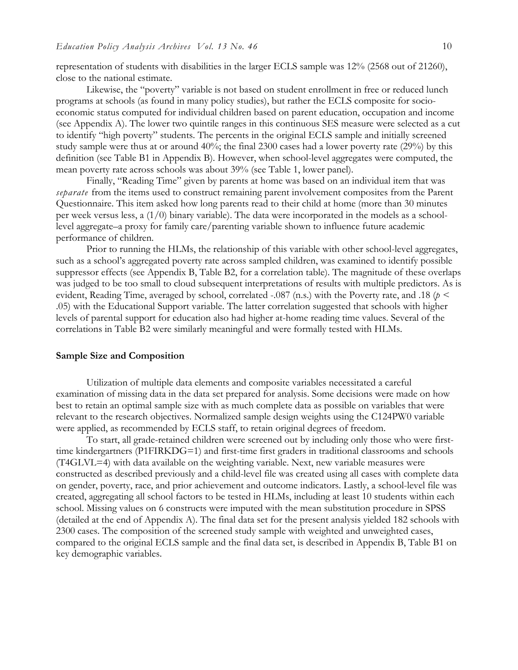representation of students with disabilities in the larger ECLS sample was 12% (2568 out of 21260), close to the national estimate.

Likewise, the "poverty" variable is not based on student enrollment in free or reduced lunch programs at schools (as found in many policy studies), but rather the ECLS composite for socioeconomic status computed for individual children based on parent education, occupation and income (see Appendix A). The lower two quintile ranges in this continuous SES measure were selected as a cut to identify "high poverty" students. The percents in the original ECLS sample and initially screened study sample were thus at or around 40%; the final 2300 cases had a lower poverty rate (29%) by this definition (see Table B1 in Appendix B). However, when school-level aggregates were computed, the mean poverty rate across schools was about 39% (see Table 1, lower panel).

Finally, "Reading Time" given by parents at home was based on an individual item that was *separate* from the items used to construct remaining parent involvement composites from the Parent Questionnaire. This item asked how long parents read to their child at home (more than 30 minutes per week versus less, a (1/0) binary variable). The data were incorporated in the models as a schoollevel aggregate–a proxy for family care/parenting variable shown to influence future academic performance of children.

Prior to running the HLMs, the relationship of this variable with other school-level aggregates, such as a school's aggregated poverty rate across sampled children, was examined to identify possible suppressor effects (see Appendix B, Table B2, for a correlation table). The magnitude of these overlaps was judged to be too small to cloud subsequent interpretations of results with multiple predictors. As is evident, Reading Time, averaged by school, correlated -.087 (n.s.) with the Poverty rate, and .18 (*p* < .05) with the Educational Support variable. The latter correlation suggested that schools with higher levels of parental support for education also had higher at-home reading time values. Several of the correlations in Table B2 were similarly meaningful and were formally tested with HLMs.

#### **Sample Size and Composition**

Utilization of multiple data elements and composite variables necessitated a careful examination of missing data in the data set prepared for analysis. Some decisions were made on how best to retain an optimal sample size with as much complete data as possible on variables that were relevant to the research objectives. Normalized sample design weights using the C124PW0 variable were applied, as recommended by ECLS staff, to retain original degrees of freedom.

To start, all grade-retained children were screened out by including only those who were firsttime kindergartners (P1FIRKDG=1) and first-time first graders in traditional classrooms and schools (T4GLVL=4) with data available on the weighting variable. Next, new variable measures were constructed as described previously and a child-level file was created using all cases with complete data on gender, poverty, race, and prior achievement and outcome indicators. Lastly, a school-level file was created, aggregating all school factors to be tested in HLMs, including at least 10 students within each school. Missing values on 6 constructs were imputed with the mean substitution procedure in SPSS (detailed at the end of Appendix A). The final data set for the present analysis yielded 182 schools with 2300 cases. The composition of the screened study sample with weighted and unweighted cases, compared to the original ECLS sample and the final data set, is described in Appendix B, Table B1 on key demographic variables.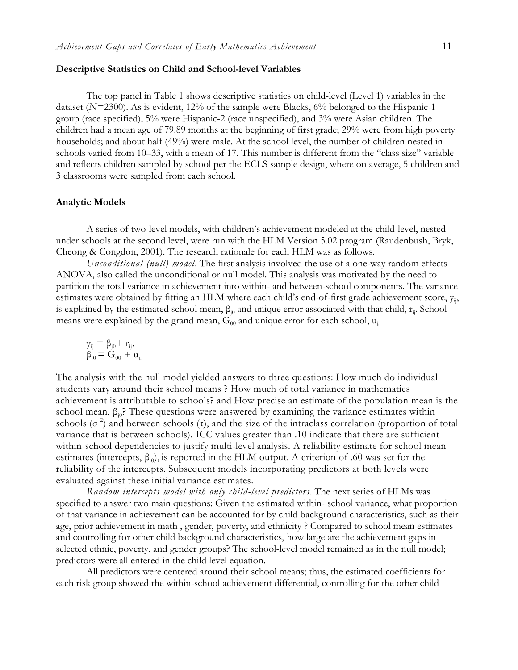#### **Descriptive Statistics on Child and School-level Variables**

The top panel in Table 1 shows descriptive statistics on child-level (Level 1) variables in the dataset (*N*=2300). As is evident, 12% of the sample were Blacks, 6% belonged to the Hispanic-1 group (race specified), 5% were Hispanic-2 (race unspecified), and 3% were Asian children. The children had a mean age of 79.89 months at the beginning of first grade; 29% were from high poverty households; and about half (49%) were male. At the school level, the number of children nested in schools varied from 10–33, with a mean of 17. This number is different from the "class size" variable and reflects children sampled by school per the ECLS sample design, where on average, 5 children and 3 classrooms were sampled from each school.

#### **Analytic Models**

A series of two-level models, with children's achievement modeled at the child-level, nested under schools at the second level, were run with the HLM Version 5.02 program (Raudenbush, Bryk, Cheong & Congdon, 2001). The research rationale for each HLM was as follows.

*Unconditional (null) model*. The first analysis involved the use of a one-way random effects ANOVA, also called the unconditional or null model. This analysis was motivated by the need to partition the total variance in achievement into within- and between-school components. The variance estimates were obtained by fitting an HLM where each child's end-of-first grade achievement score, y<sub>ij</sub>, is explained by the estimated school mean,  $\beta_{i0}$  and unique error associated with that child,  $r_{ij}$ . School means were explained by the grand mean,  $G_{00}$  and unique error for each school,  $u_i$ 

$$
y_{ij} \equiv \beta_{j0} + r_{ij},
$$
  

$$
\beta_{j0} \equiv G_{00} + u_{j}.
$$

The analysis with the null model yielded answers to three questions: How much do individual students vary around their school means ? How much of total variance in mathematics achievement is attributable to schools? and How precise an estimate of the population mean is the school mean,  $\beta_{j0}$ ? These questions were answered by examining the variance estimates within schools  $(\sigma^2)$  and between schools  $(\tau)$ , and the size of the intraclass correlation (proportion of total variance that is between schools). ICC values greater than .10 indicate that there are sufficient within-school dependencies to justify multi-level analysis. A reliability estimate for school mean estimates (intercepts,  $\beta_{00}$ ), is reported in the HLM output. A criterion of .60 was set for the reliability of the intercepts. Subsequent models incorporating predictors at both levels were evaluated against these initial variance estimates.

*Random intercepts model with only child-level predictors*. The next series of HLMs was specified to answer two main questions: Given the estimated within- school variance, what proportion of that variance in achievement can be accounted for by child background characteristics, such as their age, prior achievement in math , gender, poverty, and ethnicity ? Compared to school mean estimates and controlling for other child background characteristics, how large are the achievement gaps in selected ethnic, poverty, and gender groups? The school-level model remained as in the null model; predictors were all entered in the child level equation.

All predictors were centered around their school means; thus, the estimated coefficients for each risk group showed the within-school achievement differential, controlling for the other child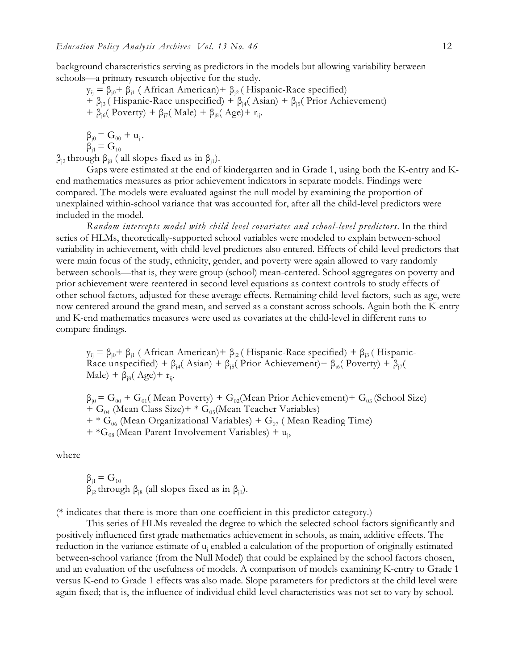background characteristics serving as predictors in the models but allowing variability between schools—a primary research objective for the study.

 $y_{ii} = \beta_{i0} + \beta_{i1}$  ( African American) +  $\beta_{i2}$  ( Hispanic-Race specified) +  $\beta_{i3}$  (Hispanic-Race unspecified) +  $\beta_{i4}$  (Asian) +  $\beta_{i5}$  (Prior Achievement) +  $\beta_{i6}$ ( Poverty) +  $\beta_{i7}$ ( Male) +  $\beta_{i8}$ ( Age)+  $r_{ii}$ .

 $\beta_{j0} = G_{00} + u_j$ .

 $β<sub>11</sub> = G<sub>10</sub>$ 

 $β<sub>i2</sub>$  through  $β<sub>i8</sub>$  ( all slopes fixed as in  $β<sub>i1</sub>$ ).

Gaps were estimated at the end of kindergarten and in Grade 1, using both the K-entry and Kend mathematics measures as prior achievement indicators in separate models. Findings were compared. The models were evaluated against the null model by examining the proportion of unexplained within-school variance that was accounted for, after all the child-level predictors were included in the model.

*Random intercepts model with child level covariates and school-level predictors*. In the third series of HLMs, theoretically-supported school variables were modeled to explain between-school variability in achievement, with child-level predictors also entered. Effects of child-level predictors that were main focus of the study, ethnicity, gender, and poverty were again allowed to vary randomly between schools—that is, they were group (school) mean-centered. School aggregates on poverty and prior achievement were reentered in second level equations as context controls to study effects of other school factors, adjusted for these average effects. Remaining child-level factors, such as age, were now centered around the grand mean, and served as a constant across schools. Again both the K-entry and K-end mathematics measures were used as covariates at the child-level in different runs to compare findings.

 $y_{ij} = \beta_{j0} + \beta_{j1}$  (African American) + β<sub>j2</sub> (Hispanic-Race specified) + β<sub>j3</sub> (Hispanic-Race unspecified) +  $\beta_{i4}$ (Asian) +  $\beta_{i5}$ (Prior Achievement) +  $\beta_{i6}$ (Poverty) +  $\beta_{i7}$ ( Male) +  $\beta_{i8}$ ( Age) +  $r_{ii}$ .

 $\beta_{i0} = G_{00} + G_{01}$  Mean Poverty) +  $G_{02}$ (Mean Prior Achievement) +  $G_{03}$  (School Size) +  $G_{04}$  (Mean Class Size)+ \*  $G_{05}$ (Mean Teacher Variables)  $+ * G_{06}$  (Mean Organizational Variables) +  $G_{07}$  (Mean Reading Time)  $+ *G_{08}$  (Mean Parent Involvement Variables) + u<sub>j</sub>,

where

 $β_{i1} = G_{10}$  $β<sub>i2</sub>$  through  $β<sub>i8</sub>$  (all slopes fixed as in  $β<sub>i1</sub>$ ).

(\* indicates that there is more than one coefficient in this predictor category.)

This series of HLMs revealed the degree to which the selected school factors significantly and positively influenced first grade mathematics achievement in schools, as main, additive effects. The reduction in the variance estimate of u<sub>j</sub> enabled a calculation of the proportion of originally estimated between-school variance (from the Null Model) that could be explained by the school factors chosen, and an evaluation of the usefulness of models. A comparison of models examining K-entry to Grade 1 versus K-end to Grade 1 effects was also made. Slope parameters for predictors at the child level were again fixed; that is, the influence of individual child-level characteristics was not set to vary by school.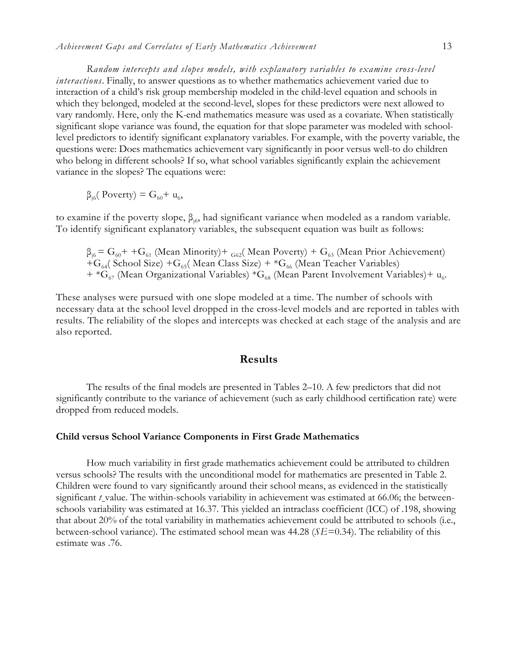*Random intercepts and slopes models, with explanatory variables to examine cross-level interactions*. Finally, to answer questions as to whether mathematics achievement varied due to interaction of a child's risk group membership modeled in the child-level equation and schools in which they belonged, modeled at the second-level, slopes for these predictors were next allowed to vary randomly. Here, only the K-end mathematics measure was used as a covariate. When statistically significant slope variance was found, the equation for that slope parameter was modeled with schoollevel predictors to identify significant explanatory variables. For example, with the poverty variable, the questions were: Does mathematics achievement vary significantly in poor versus well-to do children who belong in different schools? If so, what school variables significantly explain the achievement variance in the slopes? The equations were:

 $\beta_{i6}$ ( Poverty) =  $G_{60}$ + u<sub>6</sub>,

to examine if the poverty slope,  $\beta_{i6}$ , had significant variance when modeled as a random variable. To identify significant explanatory variables, the subsequent equation was built as follows:

 $\beta_{j6} = G_{60} + G_{61}$  (Mean Minority) +  $_{662}$  (Mean Poverty) +  $G_{63}$  (Mean Prior Achievement)  $+G_{64}$ ( School Size)  $+G_{65}$ ( Mean Class Size) +  $*G_{66}$  (Mean Teacher Variables)  $+$  \* $G_{67}$  (Mean Organizational Variables) \* $G_{68}$  (Mean Parent Involvement Variables) + u<sub>6</sub>.

These analyses were pursued with one slope modeled at a time. The number of schools with necessary data at the school level dropped in the cross-level models and are reported in tables with results. The reliability of the slopes and intercepts was checked at each stage of the analysis and are also reported.

#### **Results**

The results of the final models are presented in Tables 2–10. A few predictors that did not significantly contribute to the variance of achievement (such as early childhood certification rate) were dropped from reduced models.

#### **Child versus School Variance Components in First Grade Mathematics**

How much variability in first grade mathematics achievement could be attributed to children versus schools? The results with the unconditional model for mathematics are presented in Table 2. Children were found to vary significantly around their school means, as evidenced in the statistically significant *t* value. The within-schools variability in achievement was estimated at 66.06; the betweenschools variability was estimated at 16.37. This yielded an intraclass coefficient (ICC) of .198, showing that about 20% of the total variability in mathematics achievement could be attributed to schools (i.e., between-school variance). The estimated school mean was 44.28 (*SE*=0.34). The reliability of this estimate was .76.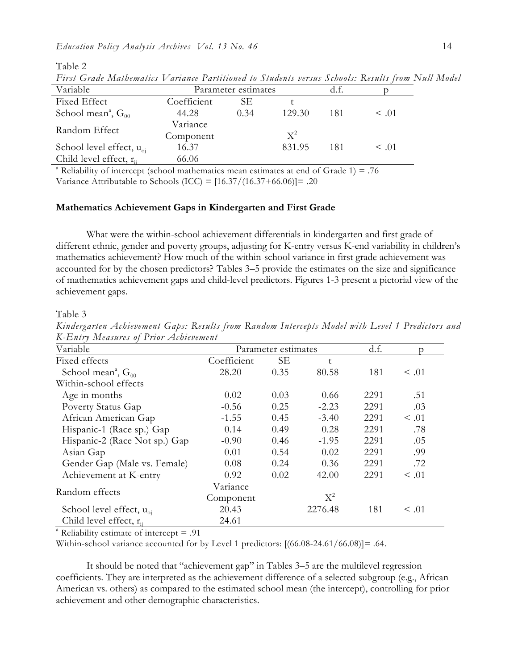| First Grade Mathematics V ariance Partitioned to Students versus Schools: Results from Null N |             |                     |        |      |            |  |
|-----------------------------------------------------------------------------------------------|-------------|---------------------|--------|------|------------|--|
| Variable                                                                                      |             | Parameter estimates |        | d.f. |            |  |
| <b>Fixed Effect</b>                                                                           | Coefficient | SE                  |        |      |            |  |
| School mean <sup>a</sup> , $G_{00}$                                                           | 44.28       | 0.34                | 129.30 | 181  | $\leq .01$ |  |
| Random Effect                                                                                 | Variance    |                     |        |      |            |  |
|                                                                                               | Component   |                     | $X^2$  |      |            |  |
| School level effect, $u_{oi}$                                                                 | 16.37       |                     | 831.95 | 181  | $\leq .01$ |  |
| Child level effect, $r_{\text{in}}$                                                           | 66.06       |                     |        |      |            |  |

Table 2 *First Grade Mathematics Variance Partitioned to Students versus Schools: Results from Null Model* 

Child level effect,  $r_{ij}$  66.06 <br><sup>a</sup> Reliability of intercept (school mathematics mean estimates at end of Grade 1) = .76 Variance Attributable to Schools (ICC) =  $[16.37/(16.37+66.06)]=.20$ 

#### **Mathematics Achievement Gaps in Kindergarten and First Grade**

What were the within-school achievement differentials in kindergarten and first grade of different ethnic, gender and poverty groups, adjusting for K-entry versus K-end variability in children's mathematics achievement? How much of the within-school variance in first grade achievement was accounted for by the chosen predictors? Tables 3–5 provide the estimates on the size and significance of mathematics achievement gaps and child-level predictors. Figures 1-3 present a pictorial view of the achievement gaps.

Table 3

*Kindergarten Achievement Gaps: Results from Random Intercepts Model with Level 1 Predictors and K-Entry Measures of Prior Achievement* 

| Variable                                               |             | Parameter estimates |                |      |            |  |
|--------------------------------------------------------|-------------|---------------------|----------------|------|------------|--|
| Fixed effects                                          | Coefficient | SE                  | t              |      |            |  |
| School mean <sup>a</sup> , $G_{00}$                    | 28.20       | 0.35                | 80.58          | 181  | $\leq .01$ |  |
| Within-school effects                                  |             |                     |                |      |            |  |
| Age in months                                          | 0.02        | 0.03                | 0.66           | 2291 | .51        |  |
| Poverty Status Gap                                     | $-0.56$     | 0.25                | $-2.23$        | 2291 | .03        |  |
| African American Gap                                   | $-1.55$     | 0.45                | $-3.40$        | 2291 | $\leq .01$ |  |
| Hispanic-1 (Race sp.) Gap                              | 0.14        | 0.49                | 0.28           | 2291 | .78        |  |
| Hispanic-2 (Race Not sp.) Gap                          | $-0.90$     | 0.46                | $-1.95$        | 2291 | .05        |  |
| Asian Gap                                              | 0.01        | 0.54                | 0.02           | 2291 | .99        |  |
| Gender Gap (Male vs. Female)                           | 0.08        | 0.24                | 0.36           | 2291 | .72        |  |
| Achievement at K-entry                                 | 0.92        | 0.02                | 42.00          | 2291 | $\leq .01$ |  |
|                                                        | Variance    |                     |                |      |            |  |
| Random effects                                         | Component   |                     | $\mathrm{X}^2$ |      |            |  |
| School level effect, $u_{oi}$                          | 20.43       |                     | 2276.48        | 181  | $\leq .01$ |  |
| Child level effect, $r_{ii}$                           | 24.61       |                     |                |      |            |  |
| <sup>a</sup> Reliability estimate of intercept $= .91$ |             |                     |                |      |            |  |

Within-school variance accounted for by Level 1 predictors: [(66.08-24.61/66.08)]= .64.

It should be noted that "achievement gap" in Tables 3–5 are the multilevel regression coefficients. They are interpreted as the achievement difference of a selected subgroup (e.g., African American vs. others) as compared to the estimated school mean (the intercept), controlling for prior achievement and other demographic characteristics.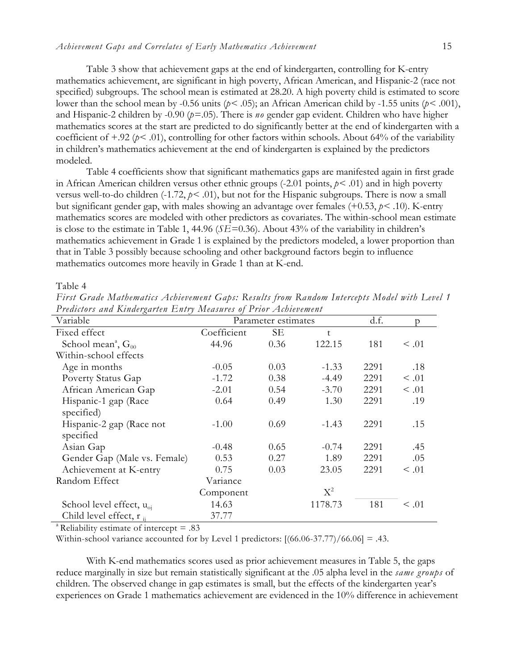Table 3 show that achievement gaps at the end of kindergarten, controlling for K-entry mathematics achievement, are significant in high poverty, African American, and Hispanic-2 (race not specified) subgroups. The school mean is estimated at 28.20. A high poverty child is estimated to score lower than the school mean by -0.56 units (*p*< .05); an African American child by -1.55 units (*p*< .001), and Hispanic-2 children by -0.90 (*p*=.05). There is *no* gender gap evident. Children who have higher mathematics scores at the start are predicted to do significantly better at the end of kindergarten with a coefficient of  $\pm$ .92 ( $p$ < .01), controlling for other factors within schools. About 64% of the variability in children's mathematics achievement at the end of kindergarten is explained by the predictors modeled.

Table 4 coefficients show that significant mathematics gaps are manifested again in first grade in African American children versus other ethnic groups (-2.01 points, *p*< .01) and in high poverty versus well-to-do children  $(-1.72, p<.01)$ , but not for the Hispanic subgroups. There is now a small but significant gender gap, with males showing an advantage over females (+0.53, *p*< .10). K-entry mathematics scores are modeled with other predictors as covariates. The within-school mean estimate is close to the estimate in Table 1, 44.96 (*SE*=0.36). About 43% of the variability in children's mathematics achievement in Grade 1 is explained by the predictors modeled, a lower proportion than that in Table 3 possibly because schooling and other background factors begin to influence mathematics outcomes more heavily in Grade 1 than at K-end.

Table 4

|          | First Grade Mathematics Achievement Gaps: Results from Random Intercepts Model with Level 1 |  |
|----------|---------------------------------------------------------------------------------------------|--|
|          | Predictors and Kindergarten Entry Measures of Prior Achievement                             |  |
| Variable | Parameter estimates                                                                         |  |

| Variable                                                                           | Parameter estimates | d.f. | D       |      |            |
|------------------------------------------------------------------------------------|---------------------|------|---------|------|------------|
| Fixed effect                                                                       | Coefficient         | SЕ   | t       |      |            |
| School mean <sup>a</sup> , $G_{00}$                                                | 44.96               | 0.36 | 122.15  | 181  | $\leq .01$ |
| Within-school effects                                                              |                     |      |         |      |            |
| Age in months                                                                      | $-0.05$             | 0.03 | $-1.33$ | 2291 | .18        |
| Poverty Status Gap                                                                 | $-1.72$             | 0.38 | $-4.49$ | 2291 | $\leq .01$ |
| African American Gap                                                               | $-2.01$             | 0.54 | $-3.70$ | 2291 | $\leq .01$ |
| Hispanic-1 gap (Race                                                               | 0.64                | 0.49 | 1.30    | 2291 | .19        |
| specified)                                                                         |                     |      |         |      |            |
| Hispanic-2 gap (Race not                                                           | $-1.00$             | 0.69 | $-1.43$ | 2291 | .15        |
| specified                                                                          |                     |      |         |      |            |
| Asian Gap                                                                          | $-0.48$             | 0.65 | $-0.74$ | 2291 | .45        |
| Gender Gap (Male vs. Female)                                                       | 0.53                | 0.27 | 1.89    | 2291 | .05        |
| Achievement at K-entry                                                             | 0.75                | 0.03 | 23.05   | 2291 | $\leq .01$ |
| Random Effect                                                                      | Variance            |      |         |      |            |
|                                                                                    | Component           |      | $X^2$   |      |            |
| School level effect, $u_{oi}$                                                      | 14.63               |      | 1178.73 | 181  | $\leq .01$ |
| Child level effect, r <sub>ij</sub>                                                | 37.77               |      |         |      |            |
| $\alpha$ and $\alpha$ are the set of $\alpha$ and $\alpha$ are the set of $\alpha$ |                     |      |         |      |            |

Reliability estimate of intercept  $= .83$ 

Within-school variance accounted for by Level 1 predictors:  $[(66.06-37.77)/(66.06) = .43$ .

With K-end mathematics scores used as prior achievement measures in Table 5, the gaps reduce marginally in size but remain statistically significant at the .05 alpha level in the *same groups* of children. The observed change in gap estimates is small, but the effects of the kindergarten year's experiences on Grade 1 mathematics achievement are evidenced in the 10% difference in achievement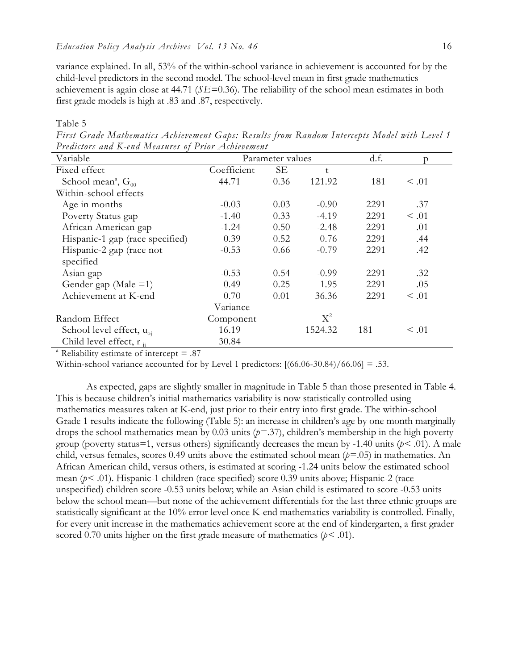variance explained. In all, 53% of the within-school variance in achievement is accounted for by the child-level predictors in the second model. The school-level mean in first grade mathematics achievement is again close at 44.71 (*SE*=0.36). The reliability of the school mean estimates in both first grade models is high at .83 and .87, respectively.

Table 5

*First Grade Mathematics Achievement Gaps: Results from Random Intercepts Model with Level 1 Predictors and K-end Measures of Prior Achievement* 

| Variable                            |             | Parameter values |         | d.f. | n          |  |
|-------------------------------------|-------------|------------------|---------|------|------------|--|
| Fixed effect                        | Coefficient | <b>SE</b>        | t       |      |            |  |
| School mean <sup>a</sup> , $G_{00}$ | 44.71       | 0.36             | 121.92  | 181  | $\leq .01$ |  |
| Within-school effects               |             |                  |         |      |            |  |
| Age in months                       | $-0.03$     | 0.03             | $-0.90$ | 2291 | .37        |  |
| Poverty Status gap                  | $-1.40$     | 0.33             | $-4.19$ | 2291 | $\leq .01$ |  |
| African American gap                | $-1.24$     | 0.50             | $-2.48$ | 2291 | .01        |  |
| Hispanic-1 gap (race specified)     | 0.39        | 0.52             | 0.76    | 2291 | .44        |  |
| Hispanic-2 gap (race not            | $-0.53$     | 0.66             | $-0.79$ | 2291 | .42        |  |
| specified                           |             |                  |         |      |            |  |
| Asian gap                           | $-0.53$     | 0.54             | $-0.99$ | 2291 | .32        |  |
| Gender gap (Male $=1$ )             | 0.49        | 0.25             | 1.95    | 2291 | .05        |  |
| Achievement at K-end                | 0.70        | 0.01             | 36.36   | 2291 | $\leq .01$ |  |
|                                     | Variance    |                  |         |      |            |  |
| Random Effect                       | Component   |                  | $X^2$   |      |            |  |
| School level effect, $u_{oi}$       | 16.19       |                  | 1524.32 | 181  | $\leq .01$ |  |
| Child level effect, $r_{ii}$        | 30.84       |                  |         |      |            |  |

<sup>a</sup> Reliability estimate of intercept = .87

Within-school variance accounted for by Level 1 predictors:  $[(66.06-30.84)/66.06] = .53$ .

As expected, gaps are slightly smaller in magnitude in Table 5 than those presented in Table 4. This is because children's initial mathematics variability is now statistically controlled using mathematics measures taken at K-end, just prior to their entry into first grade. The within-school Grade 1 results indicate the following (Table 5): an increase in children's age by one month marginally drops the school mathematics mean by 0.03 units (*p*=.37), children's membership in the high poverty group (poverty status=1, versus others) significantly decreases the mean by -1.40 units (*p*< .01). A male child, versus females, scores 0.49 units above the estimated school mean (*p*=.05) in mathematics. An African American child, versus others, is estimated at scoring -1.24 units below the estimated school mean (*p*< .01). Hispanic-1 children (race specified) score 0.39 units above; Hispanic-2 (race unspecified) children score -0.53 units below; while an Asian child is estimated to score -0.53 units below the school mean—but none of the achievement differentials for the last three ethnic groups are statistically significant at the 10% error level once K-end mathematics variability is controlled. Finally, for every unit increase in the mathematics achievement score at the end of kindergarten, a first grader scored 0.70 units higher on the first grade measure of mathematics  $(p<.01)$ .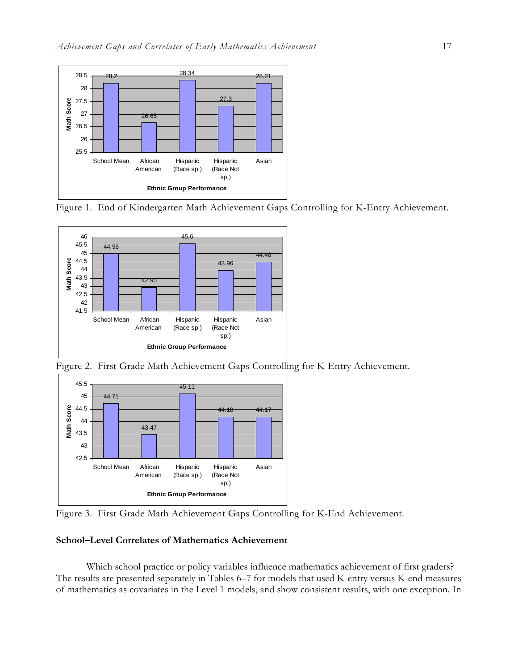

Figure 1. End of Kindergarten Math Achievement Gaps Controlling for K-Entry Achievement.



Figure 2. First Grade Math Achievement Gaps Controlling for K-Entry Achievement.



Figure 3. First Grade Math Achievement Gaps Controlling for K-End Achievement.

#### **School–Level Correlates of Mathematics Achievement**

Which school practice or policy variables influence mathematics achievement of first graders? The results are presented separately in Tables 6–7 for models that used K-entry versus K-end measures of mathematics as covariates in the Level 1 models, and show consistent results, with one exception. In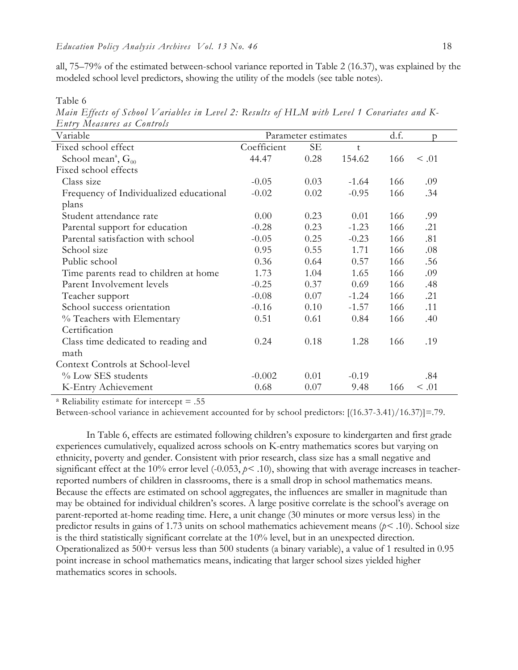all, 75–79*%* of the estimated between-school variance reported in Table 2 (16.37), was explained by the modeled school level predictors, showing the utility of the models (see table notes).

Table 6

*Main Effects of School Variables in Level 2: Results of HLM with Level 1 Covariates and K-Entry Measures as Controls* 

| $\mu$ , $\mu$ $\mu$ , $\mu$ , $\mu$ , $\mu$ , $\sigma$ , $\sigma$ , $\sigma$ , $\sigma$ , $\sigma$ , $\sigma$ , $\sigma$ , $\sigma$ , $\sigma$ , $\sigma$ , $\sigma$ , $\sigma$ , $\sigma$ , $\sigma$ , $\sigma$ , $\sigma$ , $\sigma$ , $\sigma$ , $\sigma$ , $\sigma$ , $\sigma$ , $\sigma$ , $\sigma$ , $\sigma$ , $\sigma$ , $\sigma$ , $\sigma$ , $\sigma$ , $\sigma$ , $\sigma$ , $\sigma$ ,<br>Variable |             | Parameter estimates |         | d.f. | p          |
|----------------------------------------------------------------------------------------------------------------------------------------------------------------------------------------------------------------------------------------------------------------------------------------------------------------------------------------------------------------------------------------------------------------|-------------|---------------------|---------|------|------------|
| Fixed school effect                                                                                                                                                                                                                                                                                                                                                                                            | Coefficient | <b>SE</b>           | t       |      |            |
| School mean <sup>a</sup> , $G_{00}$                                                                                                                                                                                                                                                                                                                                                                            | 44.47       | 0.28                | 154.62  | 166  | $\leq .01$ |
| Fixed school effects                                                                                                                                                                                                                                                                                                                                                                                           |             |                     |         |      |            |
| Class size                                                                                                                                                                                                                                                                                                                                                                                                     | $-0.05$     | 0.03                | $-1.64$ | 166  | .09        |
| Frequency of Individualized educational                                                                                                                                                                                                                                                                                                                                                                        | $-0.02$     | 0.02                | $-0.95$ | 166  | .34        |
| plans                                                                                                                                                                                                                                                                                                                                                                                                          |             |                     |         |      |            |
| Student attendance rate                                                                                                                                                                                                                                                                                                                                                                                        | 0.00        | 0.23                | 0.01    | 166  | .99        |
| Parental support for education                                                                                                                                                                                                                                                                                                                                                                                 | $-0.28$     | 0.23                | $-1.23$ | 166  | .21        |
| Parental satisfaction with school                                                                                                                                                                                                                                                                                                                                                                              | $-0.05$     | 0.25                | $-0.23$ | 166  | .81        |
| School size                                                                                                                                                                                                                                                                                                                                                                                                    | 0.95        | 0.55                | 1.71    | 166  | .08        |
| Public school                                                                                                                                                                                                                                                                                                                                                                                                  | 0.36        | 0.64                | 0.57    | 166  | .56        |
| Time parents read to children at home                                                                                                                                                                                                                                                                                                                                                                          | 1.73        | 1.04                | 1.65    | 166  | .09        |
| Parent Involvement levels                                                                                                                                                                                                                                                                                                                                                                                      | $-0.25$     | 0.37                | 0.69    | 166  | .48        |
| Teacher support                                                                                                                                                                                                                                                                                                                                                                                                | $-0.08$     | 0.07                | $-1.24$ | 166  | .21        |
| School success orientation                                                                                                                                                                                                                                                                                                                                                                                     | $-0.16$     | 0.10                | $-1.57$ | 166  | .11        |
| % Teachers with Elementary                                                                                                                                                                                                                                                                                                                                                                                     | 0.51        | 0.61                | 0.84    | 166  | .40        |
| Certification                                                                                                                                                                                                                                                                                                                                                                                                  |             |                     |         |      |            |
| Class time dedicated to reading and                                                                                                                                                                                                                                                                                                                                                                            | 0.24        | 0.18                | 1.28    | 166  | .19        |
| math                                                                                                                                                                                                                                                                                                                                                                                                           |             |                     |         |      |            |
| Context Controls at School-level                                                                                                                                                                                                                                                                                                                                                                               |             |                     |         |      |            |
| % Low SES students                                                                                                                                                                                                                                                                                                                                                                                             | $-0.002$    | 0.01                | $-0.19$ |      | .84        |
| K-Entry Achievement                                                                                                                                                                                                                                                                                                                                                                                            | 0.68        | 0.07                | 9.48    | 166  | $\leq .01$ |

<sup>a</sup> Reliability estimate for intercept  $= .55$ 

Between-school variance in achievement accounted for by school predictors: [(16.37-3.41)/16.37)]=.79.

In Table 6, effects are estimated following children's exposure to kindergarten and first grade experiences cumulatively, equalized across schools on K-entry mathematics scores but varying on ethnicity, poverty and gender. Consistent with prior research, class size has a small negative and significant effect at the 10% error level (-0.053,  $p$ < .10), showing that with average increases in teacherreported numbers of children in classrooms, there is a small drop in school mathematics means. Because the effects are estimated on school aggregates, the influences are smaller in magnitude than may be obtained for individual children's scores. A large positive correlate is the school's average on parent-reported at-home reading time. Here, a unit change (30 minutes or more versus less) in the predictor results in gains of 1.73 units on school mathematics achievement means (*p*< .10). School size is the third statistically significant correlate at the 10% level, but in an unexpected direction. Operationalized as 500+ versus less than 500 students (a binary variable), a value of 1 resulted in 0.95 point increase in school mathematics means, indicating that larger school sizes yielded higher mathematics scores in schools.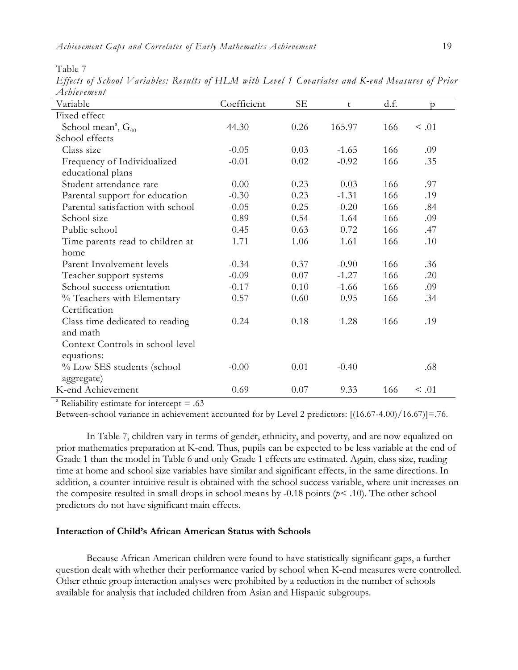Table 7

| Effects of School Variables: Results of HLM with Level 1 Covariates and K-end Measures of Prior |  |  |  |
|-------------------------------------------------------------------------------------------------|--|--|--|
| Achievement                                                                                     |  |  |  |

| Variable                            | Coefficient | SE   | t       | d.f. | p          |
|-------------------------------------|-------------|------|---------|------|------------|
| Fixed effect                        |             |      |         |      |            |
| School mean <sup>a</sup> , $G_{00}$ | 44.30       | 0.26 | 165.97  | 166  | $\leq .01$ |
| School effects                      |             |      |         |      |            |
| Class size                          | $-0.05$     | 0.03 | $-1.65$ | 166  | .09        |
| Frequency of Individualized         | $-0.01$     | 0.02 | $-0.92$ | 166  | .35        |
| educational plans                   |             |      |         |      |            |
| Student attendance rate             | 0.00        | 0.23 | 0.03    | 166  | .97        |
| Parental support for education      | $-0.30$     | 0.23 | $-1.31$ | 166  | .19        |
| Parental satisfaction with school   | $-0.05$     | 0.25 | $-0.20$ | 166  | .84        |
| School size                         | 0.89        | 0.54 | 1.64    | 166  | .09        |
| Public school                       | 0.45        | 0.63 | 0.72    | 166  | .47        |
| Time parents read to children at    | 1.71        | 1.06 | 1.61    | 166  | .10        |
| home                                |             |      |         |      |            |
| Parent Involvement levels           | $-0.34$     | 0.37 | $-0.90$ | 166  | .36        |
| Teacher support systems             | $-0.09$     | 0.07 | $-1.27$ | 166  | .20        |
| School success orientation          | $-0.17$     | 0.10 | $-1.66$ | 166  | .09        |
| % Teachers with Elementary          | 0.57        | 0.60 | 0.95    | 166  | .34        |
| Certification                       |             |      |         |      |            |
| Class time dedicated to reading     | 0.24        | 0.18 | 1.28    | 166  | .19        |
| and math                            |             |      |         |      |            |
| Context Controls in school-level    |             |      |         |      |            |
| equations:                          |             |      |         |      |            |
| % Low SES students (school          | $-0.00$     | 0.01 | $-0.40$ |      | .68        |
| aggregate)                          |             |      |         |      |            |
| K-end Achievement                   | 0.69        | 0.07 | 9.33    | 166  | $\leq .01$ |

<sup>a</sup> Reliability estimate for intercept = .63

Between-school variance in achievement accounted for by Level 2 predictors: [(16.67-4.00)/16.67)]=.76.

In Table 7, children vary in terms of gender, ethnicity, and poverty, and are now equalized on prior mathematics preparation at K-end. Thus, pupils can be expected to be less variable at the end of Grade 1 than the model in Table 6 and only Grade 1 effects are estimated. Again, class size, reading time at home and school size variables have similar and significant effects, in the same directions. In addition, a counter-intuitive result is obtained with the school success variable, where unit increases on the composite resulted in small drops in school means by -0.18 points  $(p< .10)$ . The other school predictors do not have significant main effects.

#### **Interaction of Child's African American Status with Schools**

Because African American children were found to have statistically significant gaps, a further question dealt with whether their performance varied by school when K-end measures were controlled. Other ethnic group interaction analyses were prohibited by a reduction in the number of schools available for analysis that included children from Asian and Hispanic subgroups.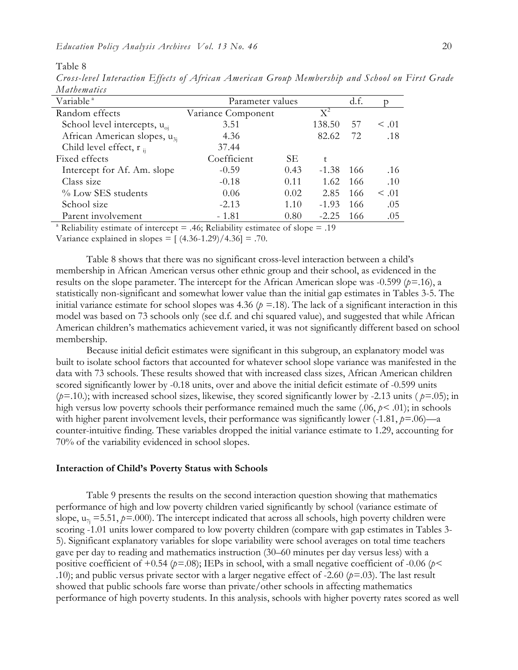Table 8

| Variable <sup>a</sup>                    | Parameter values   | d.f. |             |      |            |
|------------------------------------------|--------------------|------|-------------|------|------------|
| Random effects                           | Variance Component |      | $X^2$       |      |            |
| School level intercepts, $u_{oi}$        | 3.51               |      | 138.50      | 57   | $\leq .01$ |
| African American slopes, u <sub>3i</sub> | 4.36               |      | 82.62       | 72   | .18        |
| Child level effect, $r_{ii}$             | 37.44              |      |             |      |            |
| Fixed effects                            | Coefficient        | SE.  | t.          |      |            |
| Intercept for Af. Am. slope              | $-0.59$            | 0.43 | $-1.38$ 166 |      | .16        |
| Class size                               | $-0.18$            | 0.11 | 1.62        | -166 | .10        |
| % Low SES students                       | 0.06               | 0.02 | 2.85        | 166  | $\leq .01$ |
| School size                              | $-2.13$            | 1.10 | $-1.93$     | -166 | .05        |
| Parent involvement                       | $-1.81$            | 0.80 | $-2.25$     | -166 | .05        |

*Cross-level Interaction Effects of African American Group Membership and School on First Grade Mathematics* 

<sup>a</sup> Reliability estimate of intercept = .46; Reliability estimatee of slope = .19

Variance explained in slopes =  $(4.36-1.29)/4.36$  = .70.

Table 8 shows that there was no significant cross-level interaction between a child's membership in African American versus other ethnic group and their school, as evidenced in the results on the slope parameter. The intercept for the African American slope was -0.599 (*p*=.16), a statistically non-significant and somewhat lower value than the initial gap estimates in Tables 3-5. The initial variance estimate for school slopes was 4.36 ( $p = 18$ ). The lack of a significant interaction in this model was based on 73 schools only (see d.f. and chi squared value), and suggested that while African American children's mathematics achievement varied, it was not significantly different based on school membership.

Because initial deficit estimates were significant in this subgroup, an explanatory model was built to isolate school factors that accounted for whatever school slope variance was manifested in the data with 73 schools. These results showed that with increased class sizes, African American children scored significantly lower by -0.18 units, over and above the initial deficit estimate of -0.599 units  $(p=10)$ ; with increased school sizes, likewise, they scored significantly lower by -2.13 units ( $p=0.05$ ); in high versus low poverty schools their performance remained much the same (.06,  $p < .01$ ); in schools with higher parent involvement levels, their performance was significantly lower  $(-1.81, p=0.06)$ —a counter-intuitive finding. These variables dropped the initial variance estimate to 1.29, accounting for 70% of the variability evidenced in school slopes.

#### **Interaction of Child's Poverty Status with Schools**

Table 9 presents the results on the second interaction question showing that mathematics performance of high and low poverty children varied significantly by school (variance estimate of slope,  $u_{7i} = 5.51$ ,  $p = .000$ ). The intercept indicated that across all schools, high poverty children were scoring -1.01 units lower compared to low poverty children (compare with gap estimates in Tables 3- 5). Significant explanatory variables for slope variability were school averages on total time teachers gave per day to reading and mathematics instruction (30–60 minutes per day versus less) with a positive coefficient of  $+0.54$  ( $p=0.08$ ); IEPs in school, with a small negative coefficient of  $-0.06$  ( $p<$ .10); and public versus private sector with a larger negative effect of -2.60 (*p*=.03). The last result showed that public schools fare worse than private/other schools in affecting mathematics performance of high poverty students. In this analysis, schools with higher poverty rates scored as well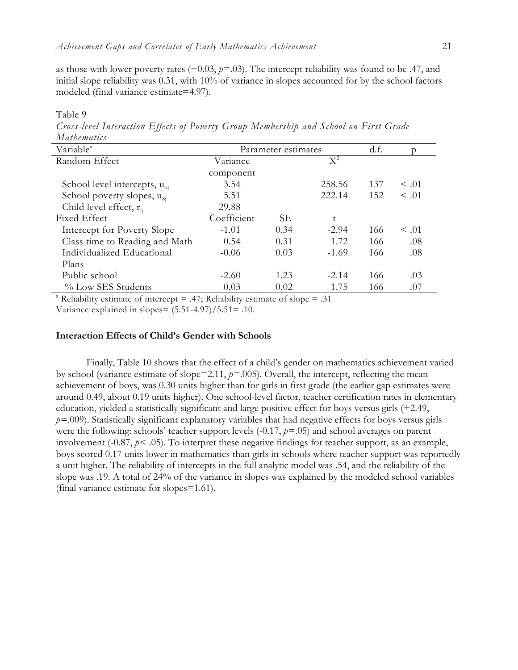as those with lower poverty rates  $(+0.03, p=.03)$ . The intercept reliability was found to be .47, and initial slope reliability was 0.31, with 10% of variance in slopes accounted for by the school factors modeled (final variance estimate=4.97).

#### Table 9

*Cross-level Interaction Effects of Poverty Group Membership and School on First Grade Mathematics* 

| Variable <sup>a</sup>                                                                     | Parameter estimates | d.f. |         |     |            |  |  |  |
|-------------------------------------------------------------------------------------------|---------------------|------|---------|-----|------------|--|--|--|
| Random Effect                                                                             | Variance            |      | $X^2$   |     |            |  |  |  |
|                                                                                           | component           |      |         |     |            |  |  |  |
| School level intercepts, $u_{oi}$                                                         | 3.54                |      | 258.56  | 137 | $\leq .01$ |  |  |  |
| School poverty slopes, $u_{8i}$                                                           | 5.51                |      | 222.14  | 152 | $\leq .01$ |  |  |  |
| Child level effect, $r_{ii}$                                                              | 29.88               |      |         |     |            |  |  |  |
| <b>Fixed Effect</b>                                                                       | Coefficient         | SE   | t.      |     |            |  |  |  |
| Intercept for Poverty Slope                                                               | $-1.01$             | 0.34 | $-2.94$ | 166 | $\leq .01$ |  |  |  |
| Class time to Reading and Math                                                            | 0.54                | 0.31 | 1.72    | 166 | .08        |  |  |  |
| Individualized Educational                                                                | $-0.06$             | 0.03 | $-1.69$ | 166 | .08        |  |  |  |
| Plans                                                                                     |                     |      |         |     |            |  |  |  |
| Public school                                                                             | $-2.60$             | 1.23 | $-2.14$ | 166 | .03        |  |  |  |
| % Low SES Students                                                                        | 0.03                | 0.02 | 1.75    | 166 | .07        |  |  |  |
| <sup>a</sup> Reliability estimate of intercept = .47; Reliability estimate of slope = .31 |                     |      |         |     |            |  |  |  |

Variance explained in slopes= (5.51-4.97)/5.51= .10.

#### **Interaction Effects of Child's Gender with Schools**

Finally, Table 10 shows that the effect of a child's gender on mathematics achievement varied by school (variance estimate of slope=2.11, *p*=.005). Overall, the intercept, reflecting the mean achievement of boys, was 0.30 units higher than for girls in first grade (the earlier gap estimates were around 0.49, about 0.19 units higher). One school-level factor, teacher certification rates in elementary education, yielded a statistically significant and large positive effect for boys versus girls (+2.49,  $p=0.009$ ). Statistically significant explanatory variables that had negative effects for boys versus girls were the following: schools' teacher support levels (-0.17,  $p=$ .05) and school averages on parent involvement  $(-0.87, p<.05)$ . To interpret these negative findings for teacher support, as an example, boys scored 0.17 units lower in mathematics than girls in schools where teacher support was reportedly a unit higher. The reliability of intercepts in the full analytic model was .54, and the reliability of the slope was .19. A total of 24% of the variance in slopes was explained by the modeled school variables (final variance estimate for slopes=1.61).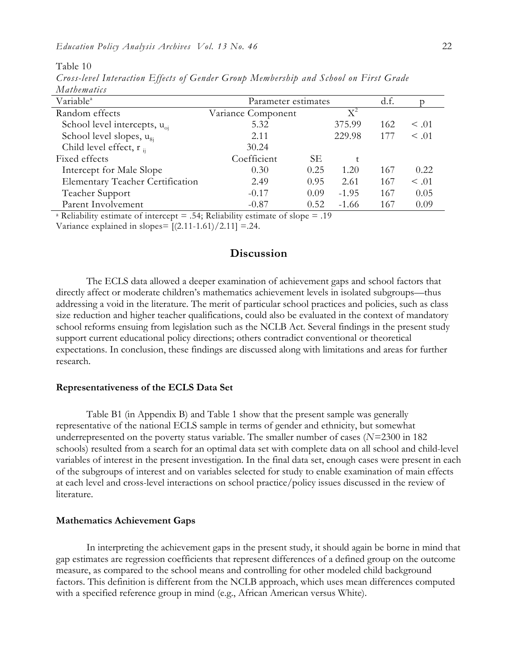Table 10

| 111 <i>01130111011003</i>                |                             |      |         |     |            |  |
|------------------------------------------|-----------------------------|------|---------|-----|------------|--|
| Variable <sup>a</sup>                    | Parameter estimates         | d.f. |         |     |            |  |
| Random effects                           | $X^2$<br>Variance Component |      |         |     |            |  |
| School level intercepts, u <sub>oi</sub> | 5.32                        |      | 375.99  | 162 | $\leq .01$ |  |
| School level slopes, $u_{8i}$            | 2.11                        |      | 229.98  | 177 | $\leq .01$ |  |
| Child level effect, $r_{ii}$             | 30.24                       |      |         |     |            |  |
| Fixed effects                            | Coefficient                 | SЕ   |         |     |            |  |
| Intercept for Male Slope                 | 0.30                        | 0.25 | 1.20    | 167 | 0.22       |  |
| <b>Elementary Teacher Certification</b>  | 2.49                        | 0.95 | 2.61    | 167 | $\leq .01$ |  |
| Teacher Support                          | $-0.17$                     | 0.09 | $-1.95$ | 167 | 0.05       |  |
| Parent Involvement                       | $-0.87$                     | 0.52 | $-1.66$ | 167 | 0.09       |  |
|                                          |                             |      |         |     |            |  |

*Cross-level Interaction Effects of Gender Group Membership and School on First Grade Mathematics* 

<sup>a</sup> Reliability estimate of intercept  $= .54$ ; Reliability estimate of slope  $= .19$ 

Variance explained in slopes =  $[(2.11 - 1.61)/2.11] = .24$ .

### **Discussion**

The ECLS data allowed a deeper examination of achievement gaps and school factors that directly affect or moderate children's mathematics achievement levels in isolated subgroups—thus addressing a void in the literature. The merit of particular school practices and policies, such as class size reduction and higher teacher qualifications, could also be evaluated in the context of mandatory school reforms ensuing from legislation such as the NCLB Act. Several findings in the present study support current educational policy directions; others contradict conventional or theoretical expectations. In conclusion, these findings are discussed along with limitations and areas for further research.

#### **Representativeness of the ECLS Data Set**

Table B1 (in Appendix B) and Table 1 show that the present sample was generally representative of the national ECLS sample in terms of gender and ethnicity, but somewhat underrepresented on the poverty status variable. The smaller number of cases (*N*=2300 in 182 schools) resulted from a search for an optimal data set with complete data on all school and child-level variables of interest in the present investigation. In the final data set, enough cases were present in each of the subgroups of interest and on variables selected for study to enable examination of main effects at each level and cross-level interactions on school practice/policy issues discussed in the review of literature.

#### **Mathematics Achievement Gaps**

In interpreting the achievement gaps in the present study, it should again be borne in mind that gap estimates are regression coefficients that represent differences of a defined group on the outcome measure, as compared to the school means and controlling for other modeled child background factors. This definition is different from the NCLB approach, which uses mean differences computed with a specified reference group in mind (e.g., African American versus White).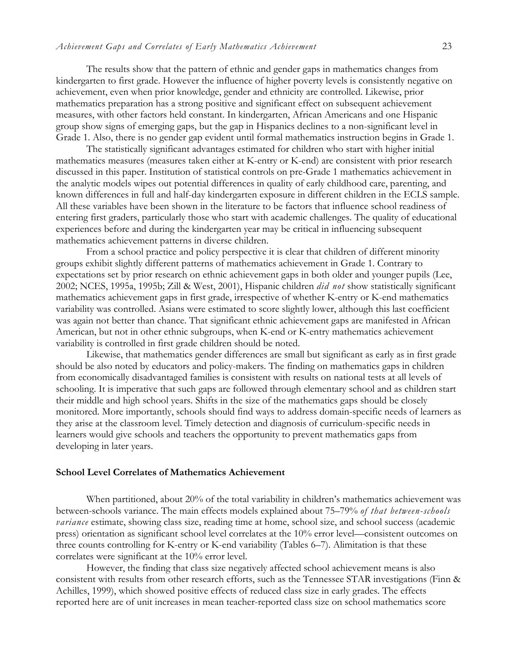The results show that the pattern of ethnic and gender gaps in mathematics changes from kindergarten to first grade. However the influence of higher poverty levels is consistently negative on achievement, even when prior knowledge, gender and ethnicity are controlled. Likewise, prior mathematics preparation has a strong positive and significant effect on subsequent achievement measures, with other factors held constant. In kindergarten, African Americans and one Hispanic group show signs of emerging gaps, but the gap in Hispanics declines to a non-significant level in Grade 1. Also, there is no gender gap evident until formal mathematics instruction begins in Grade 1.

The statistically significant advantages estimated for children who start with higher initial mathematics measures (measures taken either at K-entry or K-end) are consistent with prior research discussed in this paper. Institution of statistical controls on pre-Grade 1 mathematics achievement in the analytic models wipes out potential differences in quality of early childhood care, parenting, and known differences in full and half-day kindergarten exposure in different children in the ECLS sample. All these variables have been shown in the literature to be factors that influence school readiness of entering first graders, particularly those who start with academic challenges. The quality of educational experiences before and during the kindergarten year may be critical in influencing subsequent mathematics achievement patterns in diverse children.

From a school practice and policy perspective it is clear that children of different minority groups exhibit slightly different patterns of mathematics achievement in Grade 1. Contrary to expectations set by prior research on ethnic achievement gaps in both older and younger pupils (Lee, 2002; NCES, 1995a, 1995b; Zill & West, 2001), Hispanic children *did not* show statistically significant mathematics achievement gaps in first grade, irrespective of whether K-entry or K-end mathematics variability was controlled. Asians were estimated to score slightly lower, although this last coefficient was again not better than chance. That significant ethnic achievement gaps are manifested in African American, but not in other ethnic subgroups, when K-end or K-entry mathematics achievement variability is controlled in first grade children should be noted.

Likewise, that mathematics gender differences are small but significant as early as in first grade should be also noted by educators and policy-makers. The finding on mathematics gaps in children from economically disadvantaged families is consistent with results on national tests at all levels of schooling. It is imperative that such gaps are followed through elementary school and as children start their middle and high school years. Shifts in the size of the mathematics gaps should be closely monitored. More importantly, schools should find ways to address domain-specific needs of learners as they arise at the classroom level. Timely detection and diagnosis of curriculum-specific needs in learners would give schools and teachers the opportunity to prevent mathematics gaps from developing in later years.

#### **School Level Correlates of Mathematics Achievement**

When partitioned, about 20% of the total variability in children's mathematics achievement was between-schools variance. The main effects models explained about 75–79% *of that between-schools variance* estimate, showing class size, reading time at home, school size, and school success (academic press) orientation as significant school level correlates at the 10% error level—consistent outcomes on three counts controlling for K-entry or K-end variability (Tables 6–7). Alimitation is that these correlates were significant at the 10% error level.

However, the finding that class size negatively affected school achievement means is also consistent with results from other research efforts, such as the Tennessee STAR investigations (Finn & Achilles, 1999), which showed positive effects of reduced class size in early grades. The effects reported here are of unit increases in mean teacher-reported class size on school mathematics score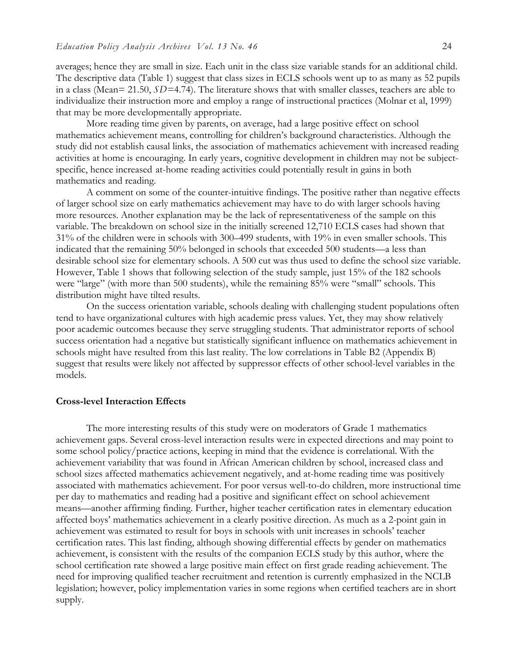averages; hence they are small in size. Each unit in the class size variable stands for an additional child. The descriptive data (Table 1) suggest that class sizes in ECLS schools went up to as many as 52 pupils in a class (Mean= 21.50, *SD*=4.74). The literature shows that with smaller classes, teachers are able to individualize their instruction more and employ a range of instructional practices (Molnar et al, 1999) that may be more developmentally appropriate.

More reading time given by parents, on average, had a large positive effect on school mathematics achievement means, controlling for children's background characteristics. Although the study did not establish causal links, the association of mathematics achievement with increased reading activities at home is encouraging. In early years, cognitive development in children may not be subjectspecific, hence increased at-home reading activities could potentially result in gains in both mathematics and reading.

A comment on some of the counter-intuitive findings. The positive rather than negative effects of larger school size on early mathematics achievement may have to do with larger schools having more resources. Another explanation may be the lack of representativeness of the sample on this variable. The breakdown on school size in the initially screened 12,710 ECLS cases had shown that 31% of the children were in schools with 300–499 students, with 19% in even smaller schools. This indicated that the remaining 50% belonged in schools that exceeded 500 students—a less than desirable school size for elementary schools. A 500 cut was thus used to define the school size variable. However, Table 1 shows that following selection of the study sample, just 15% of the 182 schools were "large" (with more than 500 students), while the remaining 85% were "small" schools. This distribution might have tilted results.

On the success orientation variable, schools dealing with challenging student populations often tend to have organizational cultures with high academic press values. Yet, they may show relatively poor academic outcomes because they serve struggling students. That administrator reports of school success orientation had a negative but statistically significant influence on mathematics achievement in schools might have resulted from this last reality. The low correlations in Table B2 (Appendix B) suggest that results were likely not affected by suppressor effects of other school-level variables in the models.

#### **Cross-level Interaction Effects**

The more interesting results of this study were on moderators of Grade 1 mathematics achievement gaps. Several cross-level interaction results were in expected directions and may point to some school policy/practice actions, keeping in mind that the evidence is correlational. With the achievement variability that was found in African American children by school, increased class and school sizes affected mathematics achievement negatively, and at-home reading time was positively associated with mathematics achievement. For poor versus well-to-do children, more instructional time per day to mathematics and reading had a positive and significant effect on school achievement means—another affirming finding. Further, higher teacher certification rates in elementary education affected boys' mathematics achievement in a clearly positive direction. As much as a 2-point gain in achievement was estimated to result for boys in schools with unit increases in schools' teacher certification rates. This last finding, although showing differential effects by gender on mathematics achievement, is consistent with the results of the companion ECLS study by this author, where the school certification rate showed a large positive main effect on first grade reading achievement. The need for improving qualified teacher recruitment and retention is currently emphasized in the NCLB legislation; however, policy implementation varies in some regions when certified teachers are in short supply.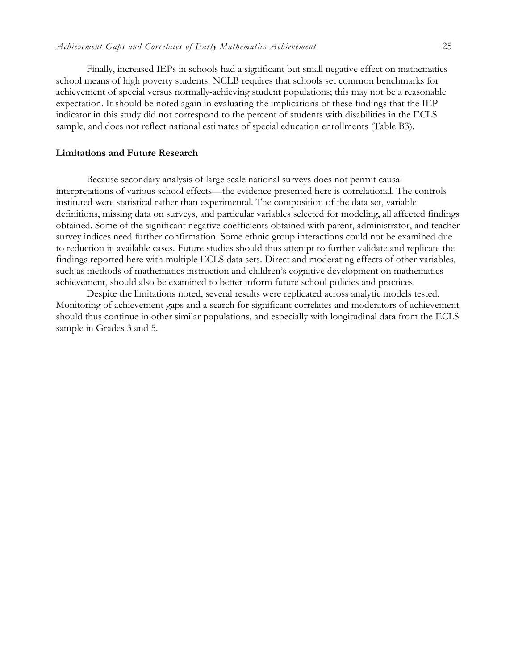Finally, increased IEPs in schools had a significant but small negative effect on mathematics school means of high poverty students. NCLB requires that schools set common benchmarks for achievement of special versus normally-achieving student populations; this may not be a reasonable expectation. It should be noted again in evaluating the implications of these findings that the IEP indicator in this study did not correspond to the percent of students with disabilities in the ECLS sample, and does not reflect national estimates of special education enrollments (Table B3).

#### **Limitations and Future Research**

Because secondary analysis of large scale national surveys does not permit causal interpretations of various school effects—the evidence presented here is correlational. The controls instituted were statistical rather than experimental. The composition of the data set, variable definitions, missing data on surveys, and particular variables selected for modeling, all affected findings obtained. Some of the significant negative coefficients obtained with parent, administrator, and teacher survey indices need further confirmation. Some ethnic group interactions could not be examined due to reduction in available cases. Future studies should thus attempt to further validate and replicate the findings reported here with multiple ECLS data sets. Direct and moderating effects of other variables, such as methods of mathematics instruction and children's cognitive development on mathematics achievement, should also be examined to better inform future school policies and practices.

Despite the limitations noted, several results were replicated across analytic models tested. Monitoring of achievement gaps and a search for significant correlates and moderators of achievement should thus continue in other similar populations, and especially with longitudinal data from the ECLS sample in Grades 3 and 5.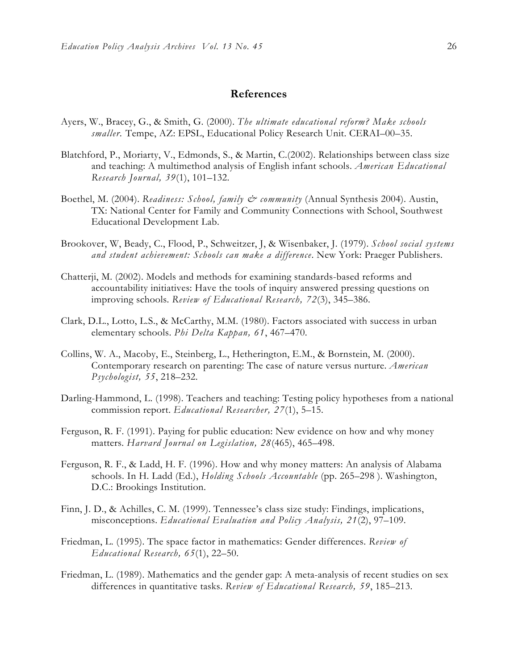### **References**

- Ayers, W., Bracey, G., & Smith, G. (2000). *The ultimate educational reform? Make schools smaller.* Tempe, AZ: EPSL, Educational Policy Research Unit. CERAI–00–35.
- Blatchford, P., Moriarty, V., Edmonds, S., & Martin, C.(2002). Relationships between class size and teaching: A multimethod analysis of English infant schools. *American Educational Research Journal, 39*(1), 101–132.
- Boethel, M. (2004). *Readiness: School, family & community* (Annual Synthesis 2004). Austin, TX: National Center for Family and Community Connections with School, Southwest Educational Development Lab.
- Brookover, W, Beady, C., Flood, P., Schweitzer, J, & Wisenbaker, J. (1979). *School social systems and student achievement: Schools can make a difference*. New York: Praeger Publishers.
- Chatterji, M. (2002). Models and methods for examining standards-based reforms and accountability initiatives: Have the tools of inquiry answered pressing questions on improving schools. *Review of Educational Research, 72*(3), 345–386.
- Clark, D.L., Lotto, L.S., & McCarthy, M.M. (1980). Factors associated with success in urban elementary schools. *Phi Delta Kappan, 61*, 467–470.
- Collins, W. A., Macoby, E., Steinberg, L., Hetherington, E.M., & Bornstein, M. (2000). Contemporary research on parenting: The case of nature versus nurture. *American Psychologist, 55*, 218–232.
- Darling-Hammond, L. (1998). Teachers and teaching: Testing policy hypotheses from a national commission report. *Educational Researcher, 27*(1), 5–15.
- Ferguson, R. F. (1991). Paying for public education: New evidence on how and why money matters. *Harvard Journal on Legislation, 28*(465), 465–498.
- Ferguson, R. F., & Ladd, H. F. (1996). How and why money matters: An analysis of Alabama schools. In H. Ladd (Ed.), *Holding Schools Accountable* (pp. 265–298 ). Washington, D.C.: Brookings Institution.
- Finn, J. D., & Achilles, C. M. (1999). Tennessee's class size study: Findings, implications, misconceptions. *Educational Evaluation and Policy Analysis, 21*(2), 97–109.
- Friedman, L. (1995). The space factor in mathematics: Gender differences. *Review of Educational Research, 65*(1), 22–50.
- Friedman, L. (1989). Mathematics and the gender gap: A meta-analysis of recent studies on sex differences in quantitative tasks. *Review of Educational Research, 59*, 185–213.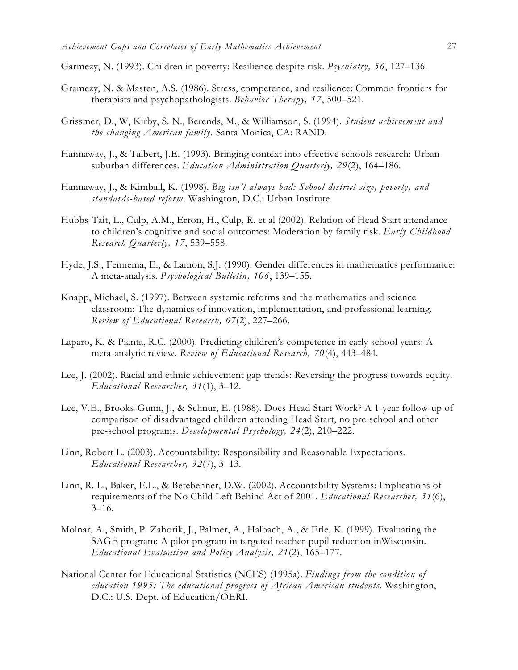Garmezy, N. (1993). Children in poverty: Resilience despite risk. *Psychiatry, 56*, 127–136.

- Gramezy, N. & Masten, A.S. (1986). Stress, competence, and resilience: Common frontiers for therapists and psychopathologists. *Behavior Therapy, 17*, 500–521.
- Grissmer, D., W, Kirby, S. N., Berends, M., & Williamson, S. (1994). *Student achievement and the changing American family.* Santa Monica, CA: RAND.
- Hannaway, J., & Talbert, J.E. (1993). Bringing context into effective schools research: Urbansuburban differences. *Education Administration Quarterly, 29*(2), 164–186.
- Hannaway, J., & Kimball, K. (1998). *Big isn't always bad: School district size, poverty, and standards-based reform*. Washington, D.C.: Urban Institute.
- Hubbs-Tait, L., Culp, A.M., Erron, H., Culp, R. et al (2002). Relation of Head Start attendance to children's cognitive and social outcomes: Moderation by family risk. *Early Childhood Research Quarterly, 17*, 539–558.
- Hyde, J.S., Fennema, E., & Lamon, S.J. (1990). Gender differences in mathematics performance: A meta-analysis. *Psychological Bulletin, 106*, 139–155.
- Knapp, Michael, S. (1997). Between systemic reforms and the mathematics and science classroom: The dynamics of innovation, implementation, and professional learning. *Review of Educational Research, 67*(2), 227–266.
- Laparo, K. & Pianta, R.C. (2000). Predicting children's competence in early school years: A meta-analytic review. *Review of Educational Research, 70*(4), 443–484.
- Lee, J. (2002). Racial and ethnic achievement gap trends: Reversing the progress towards equity. *Educational Researcher, 31*(1), 3–12.
- Lee, V.E., Brooks-Gunn, J., & Schnur, E. (1988). Does Head Start Work? A 1-year follow-up of comparison of disadvantaged children attending Head Start, no pre-school and other pre-school programs. *Developmental Psychology, 24*(2), 210–222.
- Linn, Robert L. (2003). Accountability: Responsibility and Reasonable Expectations. *Educational Researcher, 32*(7), 3–13.
- Linn, R. L., Baker, E.L., & Betebenner, D.W. (2002). Accountability Systems: Implications of requirements of the No Child Left Behind Act of 2001. *Educational Researcher, 31*(6),  $3-16.$
- Molnar, A., Smith, P. Zahorik, J., Palmer, A., Halbach, A., & Erle, K. (1999). Evaluating the SAGE program: A pilot program in targeted teacher-pupil reduction inWisconsin. *Educational Evaluation and Policy Analysis, 21*(2), 165–177.
- National Center for Educational Statistics (NCES) (1995a). *Findings from the condition of education 1995: The educational progress of African American students*. Washington, D.C.: U.S. Dept. of Education/OERI.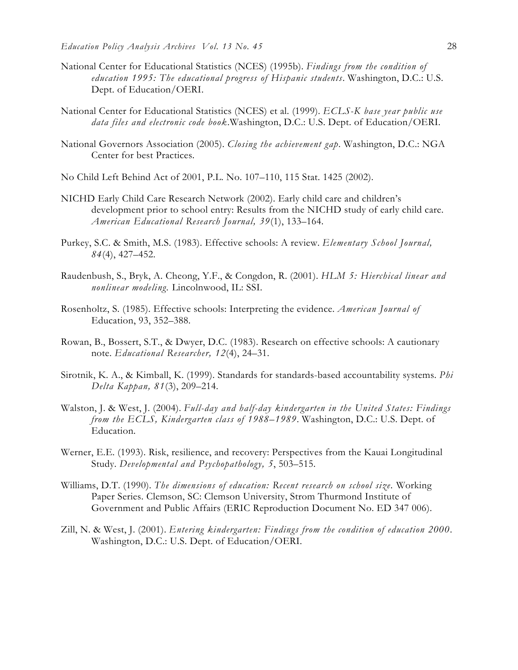- National Center for Educational Statistics (NCES) (1995b). *Findings from the condition of education 1995: The educational progress of Hispanic students*. Washington, D.C.: U.S. Dept. of Education/OERI.
- National Center for Educational Statistics (NCES) et al. (1999). *ECLS-K base year public use data files and electronic code book*.Washington, D.C.: U.S. Dept. of Education/OERI.
- National Governors Association (2005). *Closing the achievement gap*. Washington, D.C.: NGA Center for best Practices.
- No Child Left Behind Act of 2001, P.L. No. 107–110, 115 Stat. 1425 (2002).
- NICHD Early Child Care Research Network (2002). Early child care and children's development prior to school entry: Results from the NICHD study of early child care. *American Educational Research Journal, 39*(1), 133–164.
- Purkey, S.C. & Smith, M.S. (1983). Effective schools: A review. *Elementary School Journal, 84*(4), 427–452.
- Raudenbush, S., Bryk, A. Cheong, Y.F., & Congdon, R. (2001). *HLM 5: Hierchical linear and nonlinear modeling.* Lincolnwood, IL: SSI.
- Rosenholtz, S. (1985). Effective schools: Interpreting the evidence. *American Journal of*  Education, 93, 352–388.
- Rowan, B., Bossert, S.T., & Dwyer, D.C. (1983). Research on effective schools: A cautionary note. *Educational Researcher, 12*(4), 24–31.
- Sirotnik, K. A., & Kimball, K. (1999). Standards for standards-based accountability systems. *Phi Delta Kappan, 81*(3), 209–214.
- Walston, J. & West, J. (2004). *Full-day and half-day kindergarten in the United States: Findings from the ECLS, Kindergarten class of 1988–1989*. Washington, D.C.: U.S. Dept. of Education.
- Werner, E.E. (1993). Risk, resilience, and recovery: Perspectives from the Kauai Longitudinal Study. *Developmental and Psychopathology, 5*, 503–515.
- Williams, D.T. (1990). *The dimensions of education: Recent research on school size.* Working Paper Series. Clemson, SC: Clemson University, Strom Thurmond Institute of Government and Public Affairs (ERIC Reproduction Document No. ED 347 006).
- Zill, N. & West, J. (2001). *Entering kindergarten: Findings from the condition of education 2000*. Washington, D.C.: U.S. Dept. of Education/OERI.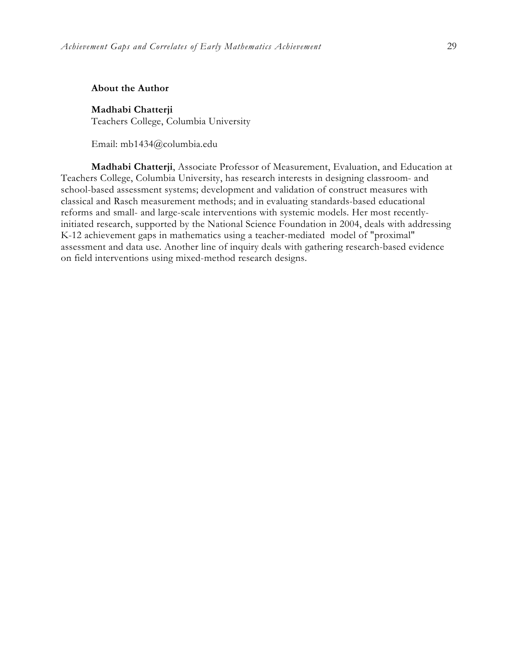#### **About the Author**

### **Madhabi Chatterji**

Teachers College, Columbia University

Email: mb1434@columbia.edu

**Madhabi Chatterji**, Associate Professor of Measurement, Evaluation, and Education at Teachers College, Columbia University, has research interests in designing classroom- and school-based assessment systems; development and validation of construct measures with classical and Rasch measurement methods; and in evaluating standards-based educational reforms and small- and large-scale interventions with systemic models. Her most recentlyinitiated research, supported by the National Science Foundation in 2004, deals with addressing K-12 achievement gaps in mathematics using a teacher-mediated model of "proximal" assessment and data use. Another line of inquiry deals with gathering research-based evidence on field interventions using mixed-method research designs.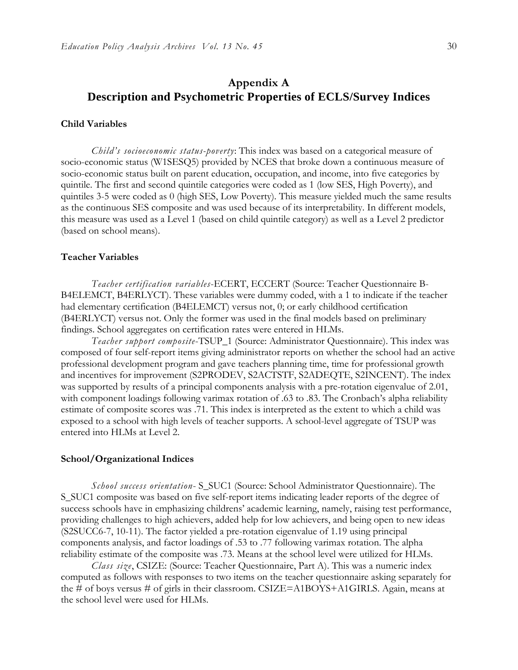### **Appendix A Description and Psychometric Properties of ECLS/Survey Indices**

#### **Child Variables**

*Child's socioeconomic status-poverty*: This index was based on a categorical measure of socio-economic status (W1SESQ5) provided by NCES that broke down a continuous measure of socio-economic status built on parent education, occupation, and income, into five categories by quintile. The first and second quintile categories were coded as 1 (low SES, High Poverty), and quintiles 3-5 were coded as 0 (high SES, Low Poverty). This measure yielded much the same results as the continuous SES composite and was used because of its interpretability. In different models, this measure was used as a Level 1 (based on child quintile category) as well as a Level 2 predictor (based on school means).

#### **Teacher Variables**

*Teacher certification variables*-ECERT, ECCERT (Source: Teacher Questionnaire B-B4ELEMCT, B4ERLYCT). These variables were dummy coded, with a 1 to indicate if the teacher had elementary certification (B4ELEMCT) versus not, 0; or early childhood certification (B4ERLYCT) versus not. Only the former was used in the final models based on preliminary findings. School aggregates on certification rates were entered in HLMs.

*Teacher support composite*-TSUP\_1 (Source: Administrator Questionnaire). This index was composed of four self-report items giving administrator reports on whether the school had an active professional development program and gave teachers planning time, time for professional growth and incentives for improvement (S2PRODEV, S2ACTSTF, S2ADEQTE, S2INCENT). The index was supported by results of a principal components analysis with a pre-rotation eigenvalue of 2.01, with component loadings following varimax rotation of .63 to .83. The Cronbach's alpha reliability estimate of composite scores was .71. This index is interpreted as the extent to which a child was exposed to a school with high levels of teacher supports. A school-level aggregate of TSUP was entered into HLMs at Level 2.

#### **School/Organizational Indices**

*School success orientation*- S\_SUC1 (Source: School Administrator Questionnaire). The S\_SUC1 composite was based on five self-report items indicating leader reports of the degree of success schools have in emphasizing childrens' academic learning, namely, raising test performance, providing challenges to high achievers, added help for low achievers, and being open to new ideas (S2SUCC6-7, 10-11). The factor yielded a pre-rotation eigenvalue of 1.19 using principal components analysis, and factor loadings of .53 to .77 following varimax rotation. The alpha reliability estimate of the composite was .73. Means at the school level were utilized for HLMs.

*Class size*, CSIZE: (Source: Teacher Questionnaire, Part A). This was a numeric index computed as follows with responses to two items on the teacher questionnaire asking separately for the # of boys versus # of girls in their classroom. CSIZE=A1BOYS+A1GIRLS. Again, means at the school level were used for HLMs.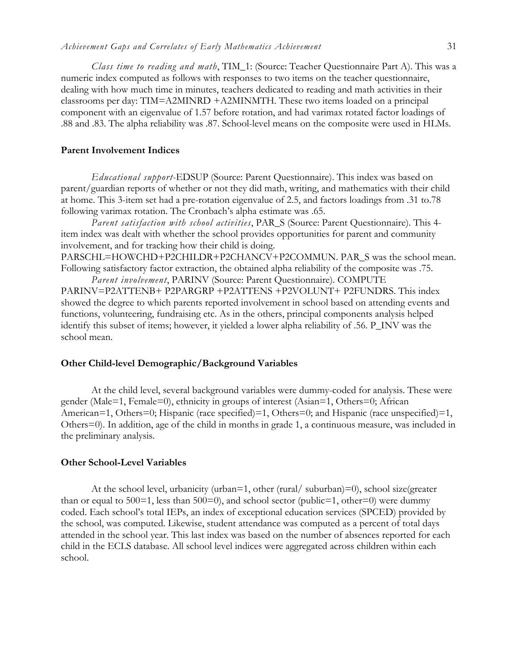*Class time to reading and math*, TIM\_1: (Source: Teacher Questionnaire Part A). This was a numeric index computed as follows with responses to two items on the teacher questionnaire, dealing with how much time in minutes, teachers dedicated to reading and math activities in their classrooms per day: TIM=A2MINRD +A2MINMTH. These two items loaded on a principal component with an eigenvalue of 1.57 before rotation, and had varimax rotated factor loadings of .88 and .83. The alpha reliability was .87. School-level means on the composite were used in HLMs.

#### **Parent Involvement Indices**

*Educational support*-EDSUP (Source: Parent Questionnaire). This index was based on parent/guardian reports of whether or not they did math, writing, and mathematics with their child at home. This 3-item set had a pre-rotation eigenvalue of 2.5, and factors loadings from .31 to.78 following varimax rotation. The Cronbach's alpha estimate was .65.

*Parent satisfaction with school activities*, PAR\_S (Source: Parent Questionnaire). This 4 item index was dealt with whether the school provides opportunities for parent and community involvement, and for tracking how their child is doing.

PARSCHL=HOWCHD+P2CHILDR+P2CHANCV+P2COMMUN. PAR\_S was the school mean. Following satisfactory factor extraction, the obtained alpha reliability of the composite was .75.

*Parent involvement*, PARINV (Source: Parent Questionnaire). COMPUTE PARINV=P2ATTENB+ P2PARGRP +P2ATTENS +P2VOLUNT+ P2FUNDRS. This index showed the degree to which parents reported involvement in school based on attending events and functions, volunteering, fundraising etc. As in the others, principal components analysis helped identify this subset of items; however, it yielded a lower alpha reliability of .56. P\_INV was the school mean.

#### **Other Child-level Demographic/Background Variables**

At the child level, several background variables were dummy-coded for analysis. These were gender (Male=1, Female=0), ethnicity in groups of interest (Asian=1, Others=0; African American=1, Others=0; Hispanic (race specified)=1, Others=0; and Hispanic (race unspecified)=1, Others=0). In addition, age of the child in months in grade 1, a continuous measure, was included in the preliminary analysis.

#### **Other School-Level Variables**

At the school level, urbanicity (urban=1, other (rural/ suburban)=0), school size(greater than or equal to  $500=1$ , less than  $500=0$ ), and school sector (public=1, other=0) were dummy coded. Each school's total IEPs, an index of exceptional education services (SPCED) provided by the school, was computed. Likewise, student attendance was computed as a percent of total days attended in the school year. This last index was based on the number of absences reported for each child in the ECLS database. All school level indices were aggregated across children within each school.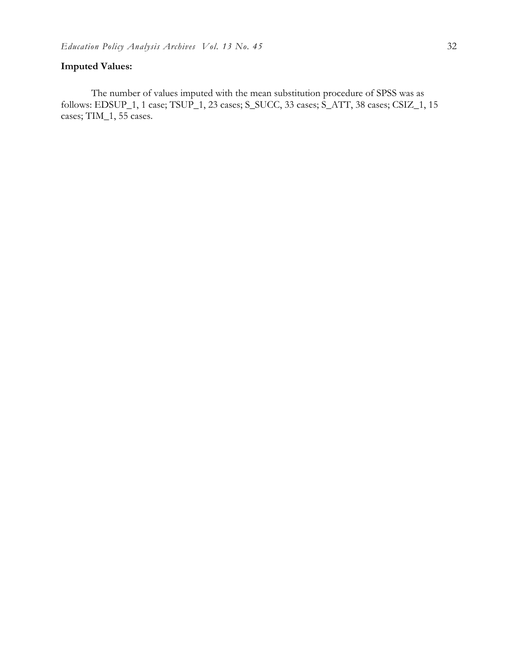### **Imputed Values:**

The number of values imputed with the mean substitution procedure of SPSS was as follows: EDSUP\_1, 1 case; TSUP\_1, 23 cases; S\_SUCC, 33 cases; S\_ATT, 38 cases; CSIZ\_1, 15 cases; TIM\_1, 55 cases.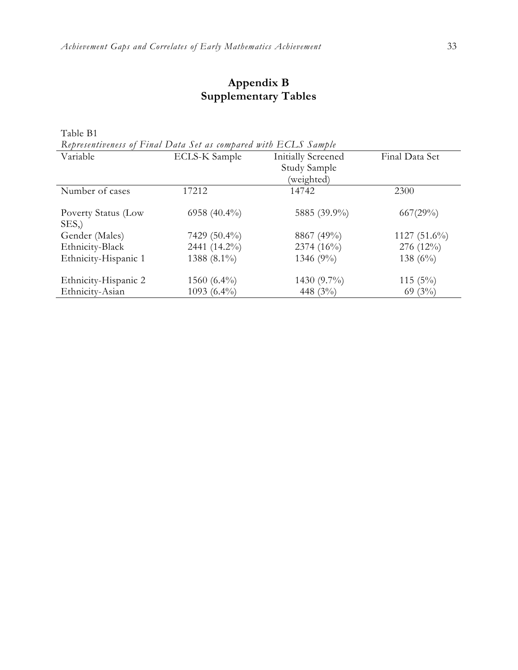### **Appendix B Supplementary Tables**

Table B1

*Representiveness of Final Data Set as compared with ECLS Sample* 

| Variable             | ECLS-K Sample   | Initially Screened | Final Data Set  |  |  |
|----------------------|-----------------|--------------------|-----------------|--|--|
|                      |                 | Study Sample       |                 |  |  |
|                      |                 | (weighted)         |                 |  |  |
| Number of cases      | 17212           | 14742              | 2300            |  |  |
| Poverty Status (Low  | 6958 $(40.4\%)$ | 5885 (39.9%)       | 667(29%)        |  |  |
| SES,                 |                 |                    |                 |  |  |
| Gender (Males)       | 7429 (50.4%)    | 8867 (49%)         | 1127 $(51.6\%)$ |  |  |
| Ethnicity-Black      | 2441 (14.2%)    | $2374(16\%)$       | 276 (12%)       |  |  |
| Ethnicity-Hispanic 1 | 1388 (8.1%)     | 1346 $(9\%)$       | 138 $(6%)$      |  |  |
| Ethnicity-Hispanic 2 | 1560 $(6.4\%)$  | 1430 $(9.7\%)$     | $115(5\%)$      |  |  |
| Ethnicity-Asian      | $1093(6.4\%)$   | 448 (3%)           | 69 $(3\%)$      |  |  |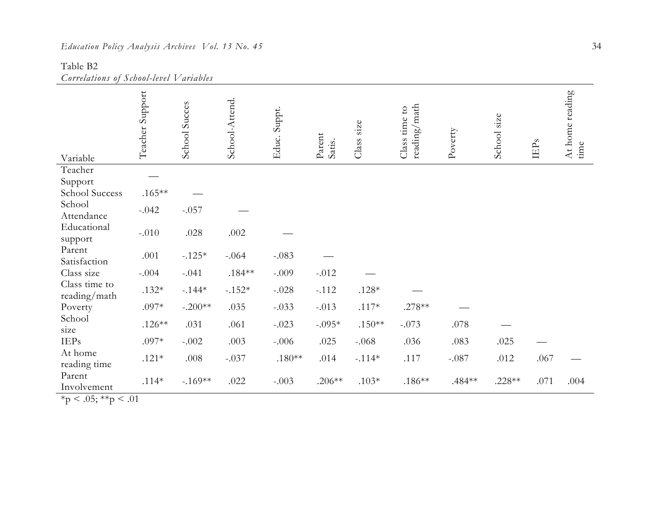### *Education Policy Analysis Archives Vol. 13 No. 45* 34

### Table B2 *Correlations of School-level Variables*

| Variable                      | Teacher Support | <b>School Succes</b> | School-Attend. | Suppt.<br>Educ. | Parent<br>Satis. | Class size | reading/math<br>Class time to | Poverty  | School size | IEPs | At home reading<br>time |
|-------------------------------|-----------------|----------------------|----------------|-----------------|------------------|------------|-------------------------------|----------|-------------|------|-------------------------|
| Teacher                       |                 |                      |                |                 |                  |            |                               |          |             |      |                         |
| Support<br>School Success     | $.165***$       |                      |                |                 |                  |            |                               |          |             |      |                         |
| School<br>Attendance          | $-.042$         | $-.057$              |                |                 |                  |            |                               |          |             |      |                         |
| Educational<br>support        | $-.010$         | .028                 | .002           |                 |                  |            |                               |          |             |      |                         |
| Parent<br>Satisfaction        | .001            | $-.125*$             | $-.064$        | $-.083$         |                  |            |                               |          |             |      |                         |
| Class size                    | $-.004$         | $-.041$              | $.184**$       | $-.009$         | $-.012$          |            |                               |          |             |      |                         |
| Class time to<br>reading/math | $.132*$         | $-.144*$             | $-.152*$       | $-.028$         | $-.112$          | $.128*$    |                               |          |             |      |                         |
| Poverty                       | $.097*$         | $-.200**$            | .035           | $-.033$         | $-.013$          | $.117*$    | $.278**$                      |          |             |      |                         |
| School<br>size                | $.126**$        | .031                 | .061           | $-.023$         | $-.095*$         | $.150**$   | $-.073$                       | $.078\,$ |             |      |                         |
| <b>IEPs</b>                   | $.097*$         | $-.002$              | .003           | $-.006$         | .025             | $-.068$    | .036                          | .083     | .025        |      |                         |
| At home<br>reading time       | $.121*$         | .008                 | $-.037$        | $.180**$        | .014             | $-.114*$   | .117                          | $-.087$  | .012        | .067 |                         |
| Parent<br>Involvement         | $.114*$         | $-.169**$            | .022           | $-.003$         | $.206**$         | $.103*$    | $.186**$                      | .484**   | .228**      | .071 | .004                    |

 $\frac{11133122121}{p} < .05; **p < .01$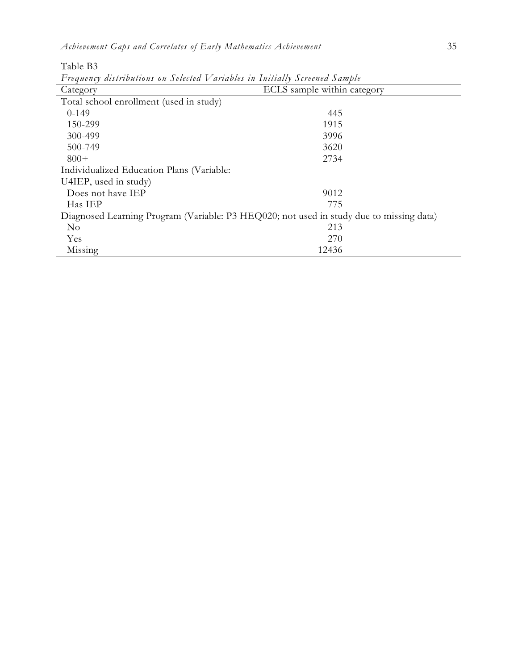Table B3

*Frequency distributions on Selected Variables in Initially Screened Sample* 

| Category                                                                                | ECLS sample within category |  |  |  |  |
|-----------------------------------------------------------------------------------------|-----------------------------|--|--|--|--|
| Total school enrollment (used in study)                                                 |                             |  |  |  |  |
| $0-149$                                                                                 | 445                         |  |  |  |  |
| 150-299                                                                                 | 1915                        |  |  |  |  |
| 300-499                                                                                 | 3996                        |  |  |  |  |
| 500-749                                                                                 | 3620                        |  |  |  |  |
| $800+$                                                                                  | 2734                        |  |  |  |  |
| Individualized Education Plans (Variable:                                               |                             |  |  |  |  |
| U4IEP, used in study)                                                                   |                             |  |  |  |  |
| Does not have IEP                                                                       | 9012                        |  |  |  |  |
| Has IEP                                                                                 | 775                         |  |  |  |  |
| Diagnosed Learning Program (Variable: P3 HEQ020; not used in study due to missing data) |                             |  |  |  |  |
| $\rm No$                                                                                | 213                         |  |  |  |  |
| Yes                                                                                     | 270                         |  |  |  |  |
| Missing                                                                                 | 12436                       |  |  |  |  |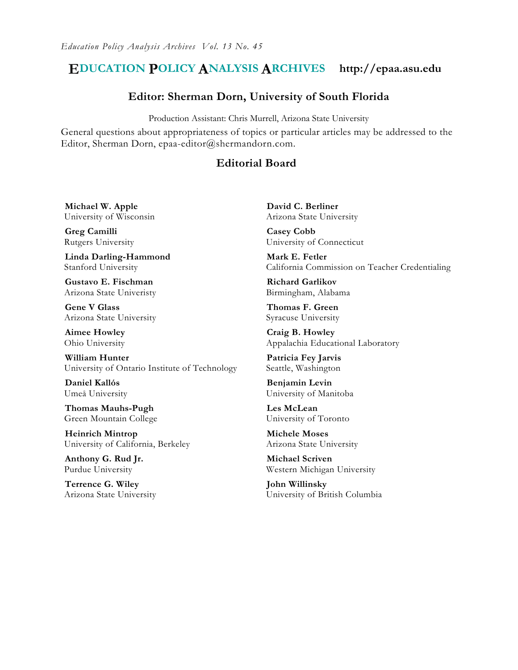### **EDUCATION POLICY ANALYSIS ARCHIVES http://epaa.asu.edu**

### **Editor: Sherman Dorn, University of South Florida**

Production Assistant: Chris Murrell, Arizona State University

General questions about appropriateness of topics or particular articles may be addressed to the Editor, Sherman Dorn, epaa-editor@shermandorn.com.

### **Editorial Board**

**Michael W. Apple** University of Wisconsin

**Greg Camilli** Rutgers University

**Linda Darling-Hammond**  Stanford University

**Gustavo E. Fischman** Arizona State Univeristy

**Gene V Glass**  Arizona State University

**Aimee Howley** Ohio University

**William Hunter** University of Ontario Institute of Technology

**Daniel Kallós** Umeå University

**Thomas Mauhs-Pugh** Green Mountain College

**Heinrich Mintrop**  University of California, Berkeley

**Anthony G. Rud Jr.** Purdue University

**Terrence G. Wiley** Arizona State University **David C. Berliner**  Arizona State University

**Casey Cobb**  University of Connecticut

**Mark E. Fetler** California Commission on Teacher Credentialing

**Richard Garlikov** Birmingham, Alabama

**Thomas F. Green** Syracuse University

**Craig B. Howley** Appalachia Educational Laboratory

**Patricia Fey Jarvis**  Seattle, Washington

**Benjamin Levin** University of Manitoba

**Les McLean** University of Toronto

**Michele Moses** Arizona State University

**Michael Scriven** Western Michigan University

**John Willinsky** University of British Columbia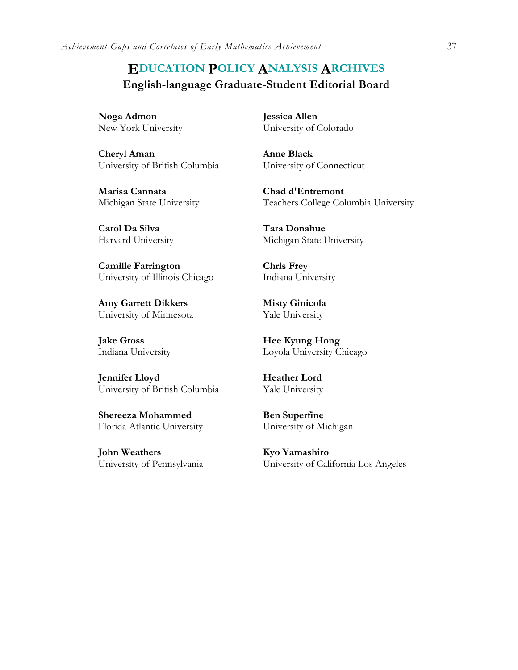## **EDUCATION POLICY ANALYSIS ARCHIVES English-language Graduate-Student Editorial Board**

**Noga Admon** New York University

**Cheryl Aman** University of British Columbia

**Marisa Cannata** Michigan State University

**Carol Da Silva**  Harvard University

**Camille Farrington** University of Illinois Chicago

**Amy Garrett Dikkers** University of Minnesota

**Jake Gross**  Indiana University

**Jennifer Lloyd**  University of British Columbia

**Shereeza Mohammed** Florida Atlantic University

**John Weathers** University of Pennsylvania **Jessica Allen** University of Colorado

**Anne Black** University of Connecticut

**Chad d'Entremont** Teachers College Columbia University

**Tara Donahue** Michigan State University

**Chris Frey** Indiana University

**Misty Ginicola** Yale University

**Hee Kyung Hong** Loyola University Chicago

**Heather Lord** Yale University

**Ben Superfine** University of Michigan

**Kyo Yamashiro** University of California Los Angeles